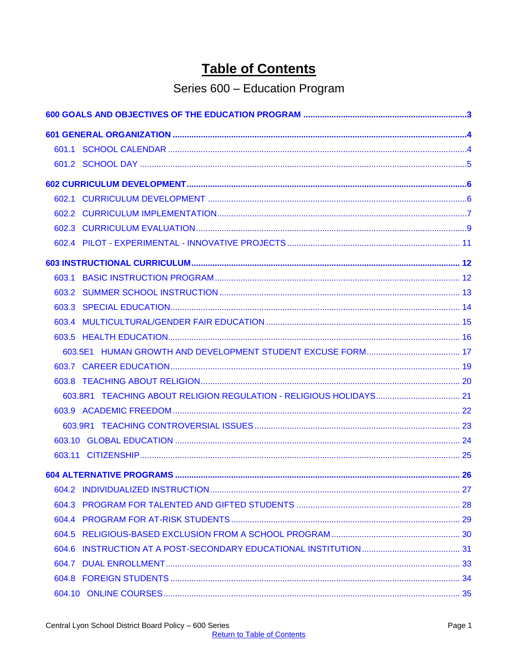# **Table of Contents**

# Series 600 - Education Program

<span id="page-0-0"></span>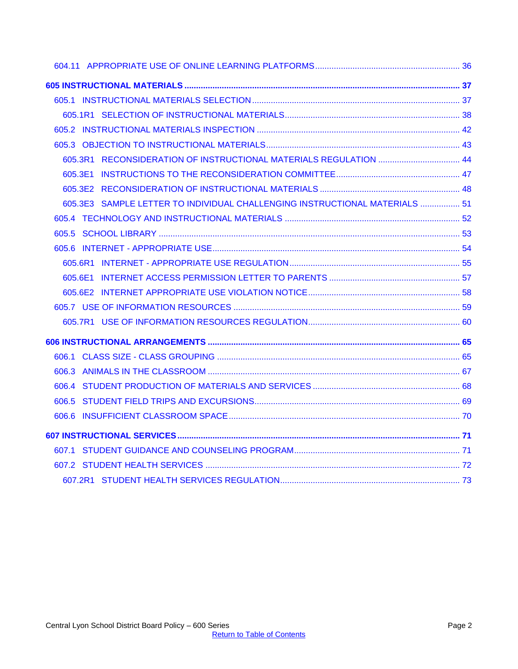| 605.3E3 SAMPLE LETTER TO INDIVIDUAL CHALLENGING INSTRUCTIONAL MATERIALS  51 |  |
|-----------------------------------------------------------------------------|--|
|                                                                             |  |
|                                                                             |  |
|                                                                             |  |
|                                                                             |  |
|                                                                             |  |
|                                                                             |  |
|                                                                             |  |
|                                                                             |  |
|                                                                             |  |
|                                                                             |  |
|                                                                             |  |
|                                                                             |  |
|                                                                             |  |
|                                                                             |  |
|                                                                             |  |
|                                                                             |  |
|                                                                             |  |
|                                                                             |  |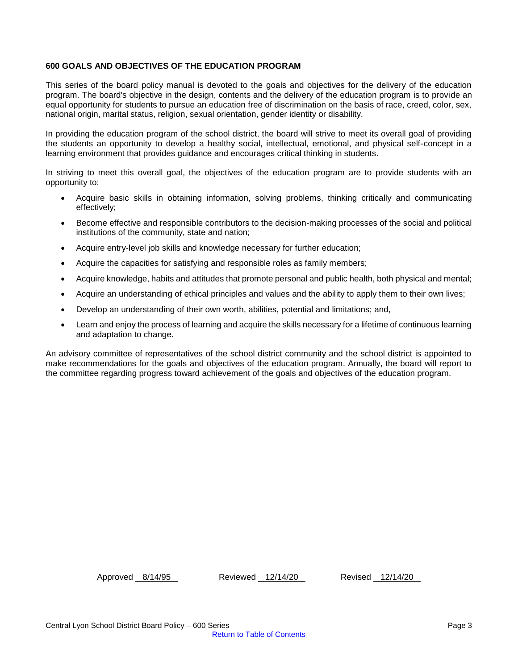## <span id="page-2-0"></span>**600 GOALS AND OBJECTIVES OF THE EDUCATION PROGRAM**

This series of the board policy manual is devoted to the goals and objectives for the delivery of the education program. The board's objective in the design, contents and the delivery of the education program is to provide an equal opportunity for students to pursue an education free of discrimination on the basis of race, creed, color, sex, national origin, marital status, religion, sexual orientation, gender identity or disability.

In providing the education program of the school district, the board will strive to meet its overall goal of providing the students an opportunity to develop a healthy social, intellectual, emotional, and physical self-concept in a learning environment that provides guidance and encourages critical thinking in students.

In striving to meet this overall goal, the objectives of the education program are to provide students with an opportunity to:

- Acquire basic skills in obtaining information, solving problems, thinking critically and communicating effectively;
- Become effective and responsible contributors to the decision-making processes of the social and political institutions of the community, state and nation;
- Acquire entry-level job skills and knowledge necessary for further education;
- Acquire the capacities for satisfying and responsible roles as family members;
- Acquire knowledge, habits and attitudes that promote personal and public health, both physical and mental;
- Acquire an understanding of ethical principles and values and the ability to apply them to their own lives;
- Develop an understanding of their own worth, abilities, potential and limitations; and,
- Learn and enjoy the process of learning and acquire the skills necessary for a lifetime of continuous learning and adaptation to change.

An advisory committee of representatives of the school district community and the school district is appointed to make recommendations for the goals and objectives of the education program. Annually, the board will report to the committee regarding progress toward achievement of the goals and objectives of the education program.

Approved 8/14/95 Reviewed 12/14/20 Revised 12/14/20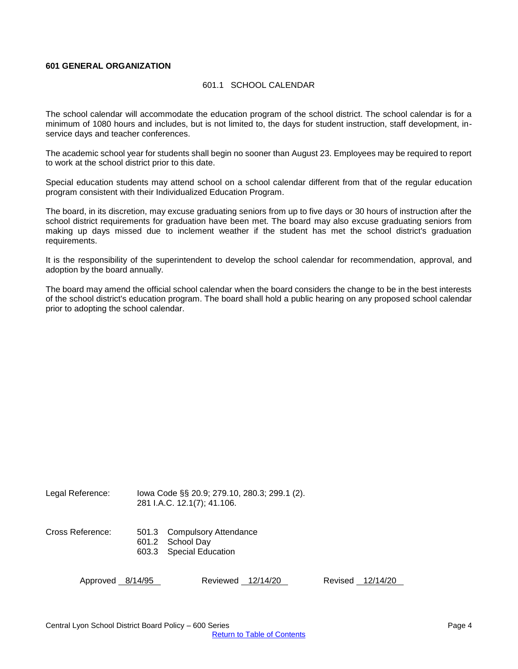## <span id="page-3-1"></span><span id="page-3-0"></span>**601 GENERAL ORGANIZATION**

## 601.1 SCHOOL CALENDAR

The school calendar will accommodate the education program of the school district. The school calendar is for a minimum of 1080 hours and includes, but is not limited to, the days for student instruction, staff development, inservice days and teacher conferences.

The academic school year for students shall begin no sooner than August 23. Employees may be required to report to work at the school district prior to this date.

Special education students may attend school on a school calendar different from that of the regular education program consistent with their Individualized Education Program.

The board, in its discretion, may excuse graduating seniors from up to five days or 30 hours of instruction after the school district requirements for graduation have been met. The board may also excuse graduating seniors from making up days missed due to inclement weather if the student has met the school district's graduation requirements.

It is the responsibility of the superintendent to develop the school calendar for recommendation, approval, and adoption by the board annually.

The board may amend the official school calendar when the board considers the change to be in the best interests of the school district's education program. The board shall hold a public hearing on any proposed school calendar prior to adopting the school calendar.

| Legal Reference: | lowa Code §§ 20.9; 279.10, 280.3; 299.1 (2).<br>281 I.A.C. 12.1(7); 41.106. |                  |
|------------------|-----------------------------------------------------------------------------|------------------|
| Cross Reference: | 501.3 Compulsory Attendance<br>601.2 School Day<br>603.3 Special Education  |                  |
| Approved 8/14/95 | Reviewed 12/14/20                                                           | Revised 12/14/20 |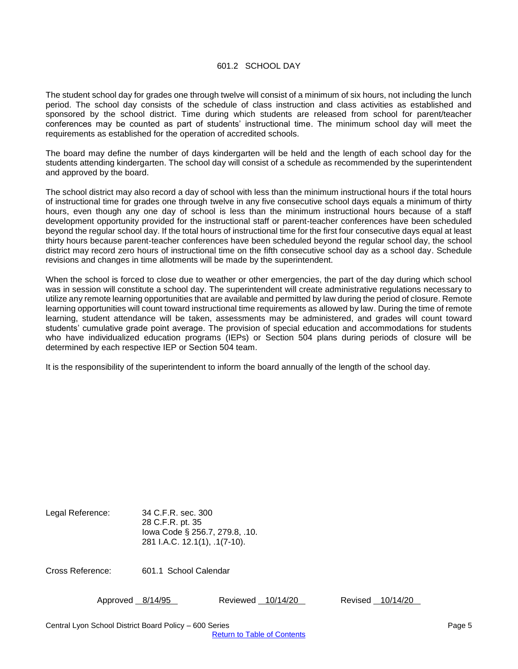## 601.2 SCHOOL DAY

<span id="page-4-0"></span>The student school day for grades one through twelve will consist of a minimum of six hours, not including the lunch period. The school day consists of the schedule of class instruction and class activities as established and sponsored by the school district. Time during which students are released from school for parent/teacher conferences may be counted as part of students' instructional time. The minimum school day will meet the requirements as established for the operation of accredited schools.

The board may define the number of days kindergarten will be held and the length of each school day for the students attending kindergarten. The school day will consist of a schedule as recommended by the superintendent and approved by the board.

The school district may also record a day of school with less than the minimum instructional hours if the total hours of instructional time for grades one through twelve in any five consecutive school days equals a minimum of thirty hours, even though any one day of school is less than the minimum instructional hours because of a staff development opportunity provided for the instructional staff or parent-teacher conferences have been scheduled beyond the regular school day. If the total hours of instructional time for the first four consecutive days equal at least thirty hours because parent-teacher conferences have been scheduled beyond the regular school day, the school district may record zero hours of instructional time on the fifth consecutive school day as a school day. Schedule revisions and changes in time allotments will be made by the superintendent.

When the school is forced to close due to weather or other emergencies, the part of the day during which school was in session will constitute a school day. The superintendent will create administrative regulations necessary to utilize any remote learning opportunities that are available and permitted by law during the period of closure. Remote learning opportunities will count toward instructional time requirements as allowed by law. During the time of remote learning, student attendance will be taken, assessments may be administered, and grades will count toward students' cumulative grade point average. The provision of special education and accommodations for students who have individualized education programs (IEPs) or Section 504 plans during periods of closure will be determined by each respective IEP or Section 504 team.

It is the responsibility of the superintendent to inform the board annually of the length of the school day.

Legal Reference: 34 C.F.R. sec. 300 28 C.F.R. pt. 35 Iowa Code § 256.7, 279.8, .10. 281 I.A.C. 12.1(1), .1(7-10).

Cross Reference: 601.1 School Calendar

Approved 8/14/95 Reviewed 10/14/20 Revised 10/14/20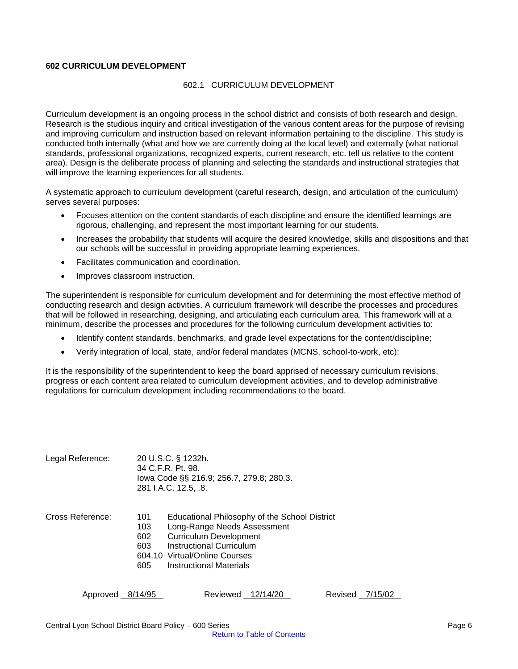## <span id="page-5-1"></span><span id="page-5-0"></span>**602 CURRICULUM DEVELOPMENT**

#### 602.1 CURRICULUM DEVELOPMENT

Curriculum development is an ongoing process in the school district and consists of both research and design. Research is the studious inquiry and critical investigation of the various content areas for the purpose of revising and improving curriculum and instruction based on relevant information pertaining to the discipline. This study is conducted both internally (what and how we are currently doing at the local level) and externally (what national standards, professional organizations, recognized experts, current research, etc. tell us relative to the content area). Design is the deliberate process of planning and selecting the standards and instructional strategies that will improve the learning experiences for all students.

A systematic approach to curriculum development (careful research, design, and articulation of the curriculum) serves several purposes:

- Focuses attention on the content standards of each discipline and ensure the identified learnings are rigorous, challenging, and represent the most important learning for our students.
- Increases the probability that students will acquire the desired knowledge, skills and dispositions and that our schools will be successful in providing appropriate learning experiences.
- Facilitates communication and coordination.
- Improves classroom instruction.

The superintendent is responsible for curriculum development and for determining the most effective method of conducting research and design activities. A curriculum framework will describe the processes and procedures that will be followed in researching, designing, and articulating each curriculum area. This framework will at a minimum, describe the processes and procedures for the following curriculum development activities to:

- Identify content standards, benchmarks, and grade level expectations for the content/discipline;
- Verify integration of local, state, and/or federal mandates (MCNS, school-to-work, etc);

It is the responsibility of the superintendent to keep the board apprised of necessary curriculum revisions, progress or each content area related to curriculum development activities, and to develop administrative regulations for curriculum development including recommendations to the board.

| Legal Reference: | 20 U.S.C. § 1232h.<br>34 C.F.R. Pt. 98.<br>lowa Code §§ 216.9; 256.7, 279.8; 280.3.<br>281 I.A.C. 12.5, .8.                                                                                                                              |  |
|------------------|------------------------------------------------------------------------------------------------------------------------------------------------------------------------------------------------------------------------------------------|--|
| Cross Reference: | Educational Philosophy of the School District<br>101<br>Long-Range Needs Assessment<br>103<br><b>Curriculum Development</b><br>602<br>Instructional Curriculum<br>603<br>604.10 Virtual/Online Courses<br>Instructional Materials<br>605 |  |

| Reviewed 12/14/20<br>Approved 8/14/95 | Revised 7/15/02 |
|---------------------------------------|-----------------|
|---------------------------------------|-----------------|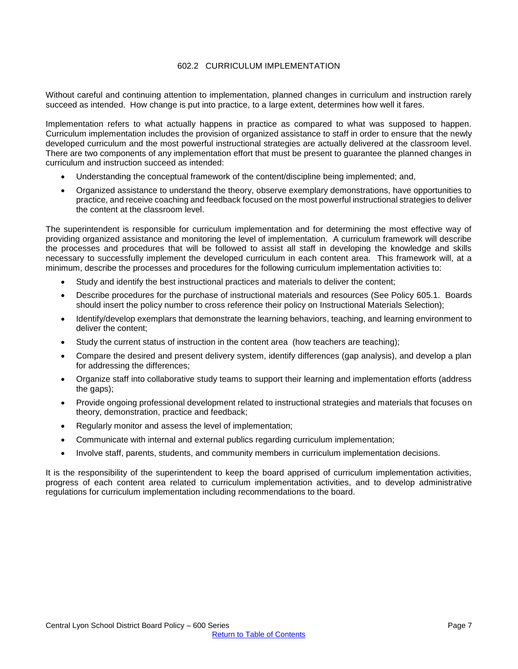## 602.2 CURRICULUM IMPLEMENTATION

<span id="page-6-0"></span>Without careful and continuing attention to implementation, planned changes in curriculum and instruction rarely succeed as intended. How change is put into practice, to a large extent, determines how well it fares.

Implementation refers to what actually happens in practice as compared to what was supposed to happen. Curriculum implementation includes the provision of organized assistance to staff in order to ensure that the newly developed curriculum and the most powerful instructional strategies are actually delivered at the classroom level. There are two components of any implementation effort that must be present to guarantee the planned changes in curriculum and instruction succeed as intended:

- Understanding the conceptual framework of the content/discipline being implemented; and,
- Organized assistance to understand the theory, observe exemplary demonstrations, have opportunities to practice, and receive coaching and feedback focused on the most powerful instructional strategies to deliver the content at the classroom level.

The superintendent is responsible for curriculum implementation and for determining the most effective way of providing organized assistance and monitoring the level of implementation. A curriculum framework will describe the processes and procedures that will be followed to assist all staff in developing the knowledge and skills necessary to successfully implement the developed curriculum in each content area. This framework will, at a minimum, describe the processes and procedures for the following curriculum implementation activities to:

- Study and identify the best instructional practices and materials to deliver the content;
- Describe procedures for the purchase of instructional materials and resources (See Policy 605.1. Boards should insert the policy number to cross reference their policy on Instructional Materials Selection);
- Identify/develop exemplars that demonstrate the learning behaviors, teaching, and learning environment to deliver the content;
- Study the current status of instruction in the content area (how teachers are teaching);
- Compare the desired and present delivery system, identify differences (gap analysis), and develop a plan for addressing the differences;
- Organize staff into collaborative study teams to support their learning and implementation efforts (address the gaps);
- Provide ongoing professional development related to instructional strategies and materials that focuses on theory, demonstration, practice and feedback;
- Regularly monitor and assess the level of implementation;
- Communicate with internal and external publics regarding curriculum implementation;
- Involve staff, parents, students, and community members in curriculum implementation decisions.

It is the responsibility of the superintendent to keep the board apprised of curriculum implementation activities, progress of each content area related to curriculum implementation activities, and to develop administrative regulations for curriculum implementation including recommendations to the board.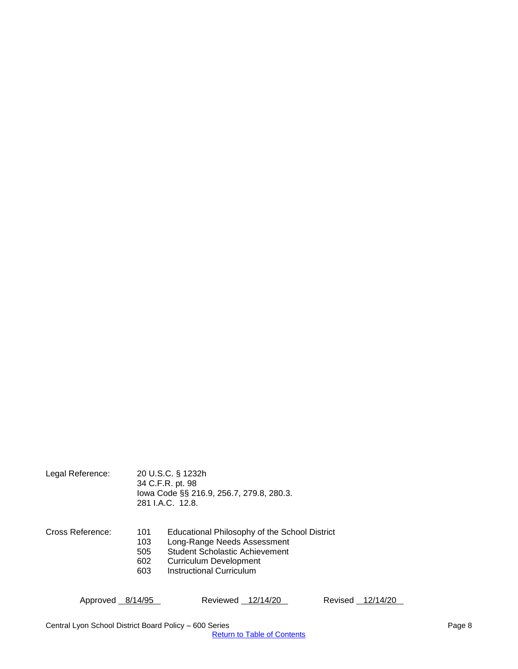| Legal Reference: |            | 20 U.S.C. § 1232h<br>34 C.F.R. pt. 98<br>lowa Code §§ 216.9, 256.7, 279.8, 280.3.<br>281 I.A.C. 12.8. |
|------------------|------------|-------------------------------------------------------------------------------------------------------|
| Cross Reference: | 101<br>103 | Educational Philosophy of the School District<br>Long-Range Needs Assessment                          |

- - 505 Student Scholastic Achievement
	- 602 Curriculum Development<br>603 Instructional Curriculum
	- Instructional Curriculum

Approved 8/14/95 Reviewed 12/14/20 Revised 12/14/20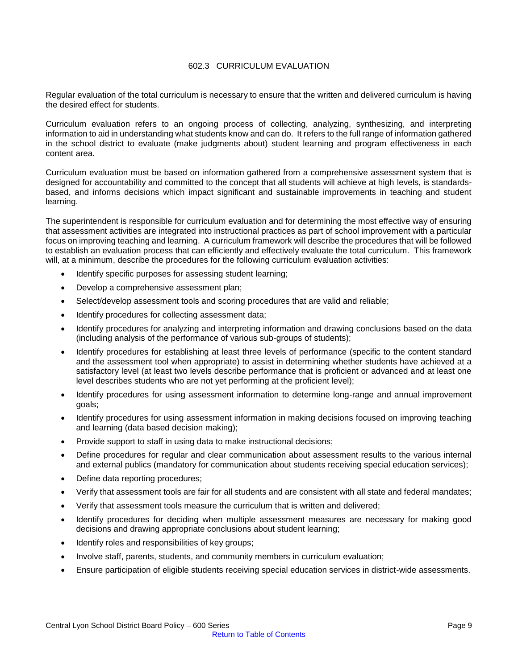## 602.3 CURRICULUM EVALUATION

<span id="page-8-0"></span>Regular evaluation of the total curriculum is necessary to ensure that the written and delivered curriculum is having the desired effect for students.

Curriculum evaluation refers to an ongoing process of collecting, analyzing, synthesizing, and interpreting information to aid in understanding what students know and can do. It refers to the full range of information gathered in the school district to evaluate (make judgments about) student learning and program effectiveness in each content area.

Curriculum evaluation must be based on information gathered from a comprehensive assessment system that is designed for accountability and committed to the concept that all students will achieve at high levels, is standardsbased, and informs decisions which impact significant and sustainable improvements in teaching and student learning.

The superintendent is responsible for curriculum evaluation and for determining the most effective way of ensuring that assessment activities are integrated into instructional practices as part of school improvement with a particular focus on improving teaching and learning. A curriculum framework will describe the procedures that will be followed to establish an evaluation process that can efficiently and effectively evaluate the total curriculum. This framework will, at a minimum, describe the procedures for the following curriculum evaluation activities:

- Identify specific purposes for assessing student learning;
- Develop a comprehensive assessment plan;
- Select/develop assessment tools and scoring procedures that are valid and reliable;
- Identify procedures for collecting assessment data;
- Identify procedures for analyzing and interpreting information and drawing conclusions based on the data (including analysis of the performance of various sub-groups of students);
- Identify procedures for establishing at least three levels of performance (specific to the content standard and the assessment tool when appropriate) to assist in determining whether students have achieved at a satisfactory level (at least two levels describe performance that is proficient or advanced and at least one level describes students who are not yet performing at the proficient level);
- Identify procedures for using assessment information to determine long-range and annual improvement goals;
- Identify procedures for using assessment information in making decisions focused on improving teaching and learning (data based decision making);
- Provide support to staff in using data to make instructional decisions;
- Define procedures for regular and clear communication about assessment results to the various internal and external publics (mandatory for communication about students receiving special education services);
- Define data reporting procedures;
- Verify that assessment tools are fair for all students and are consistent with all state and federal mandates;
- Verify that assessment tools measure the curriculum that is written and delivered;
- Identify procedures for deciding when multiple assessment measures are necessary for making good decisions and drawing appropriate conclusions about student learning;
- Identify roles and responsibilities of key groups;
- Involve staff, parents, students, and community members in curriculum evaluation;
- Ensure participation of eligible students receiving special education services in district-wide assessments.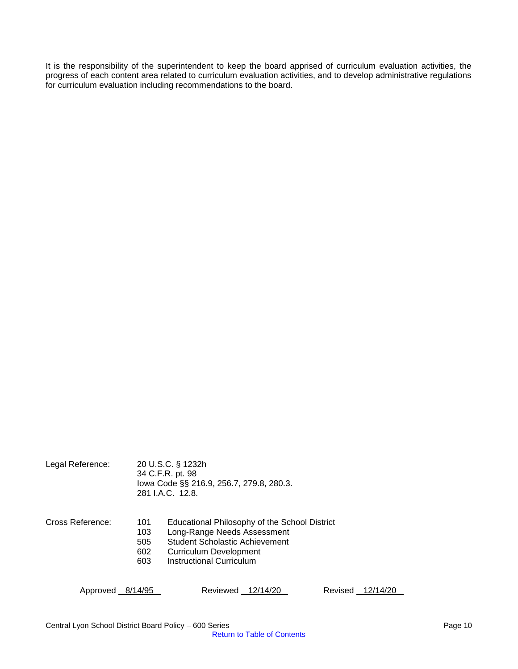It is the responsibility of the superintendent to keep the board apprised of curriculum evaluation activities, the progress of each content area related to curriculum evaluation activities, and to develop administrative regulations for curriculum evaluation including recommendations to the board.

| Legal Reference: |                                 | 20 U.S.C. § 1232h<br>34 C.F.R. pt. 98<br>lowa Code §§ 216.9, 256.7, 279.8, 280.3.<br>281 I.A.C. 12.8.                                                                              |  |
|------------------|---------------------------------|------------------------------------------------------------------------------------------------------------------------------------------------------------------------------------|--|
| Cross Reference: | 101<br>103<br>505<br>602<br>603 | Educational Philosophy of the School District<br>Long-Range Needs Assessment<br><b>Student Scholastic Achievement</b><br>Curriculum Development<br><b>Instructional Curriculum</b> |  |
| Approved         | 8/14/95                         | Reviewed<br>12/14/20<br>Revised<br>12/14/20                                                                                                                                        |  |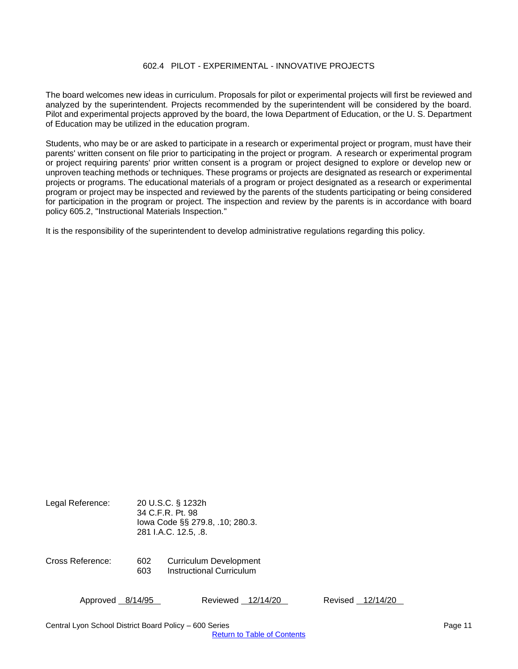## 602.4 PILOT - EXPERIMENTAL - INNOVATIVE PROJECTS

<span id="page-10-0"></span>The board welcomes new ideas in curriculum. Proposals for pilot or experimental projects will first be reviewed and analyzed by the superintendent. Projects recommended by the superintendent will be considered by the board. Pilot and experimental projects approved by the board, the Iowa Department of Education, or the U. S. Department of Education may be utilized in the education program.

Students, who may be or are asked to participate in a research or experimental project or program, must have their parents' written consent on file prior to participating in the project or program. A research or experimental program or project requiring parents' prior written consent is a program or project designed to explore or develop new or unproven teaching methods or techniques. These programs or projects are designated as research or experimental projects or programs. The educational materials of a program or project designated as a research or experimental program or project may be inspected and reviewed by the parents of the students participating or being considered for participation in the program or project. The inspection and review by the parents is in accordance with board policy 605.2, "Instructional Materials Inspection."

It is the responsibility of the superintendent to develop administrative regulations regarding this policy.

Legal Reference: 20 U.S.C. § 1232h 34 C.F.R. Pt. 98 Iowa Code §§ 279.8, .10; 280.3. 281 I.A.C. 12.5, .8.

Cross Reference: 602 Curriculum Development 603 Instructional Curriculum

Approved 8/14/95 Reviewed 12/14/20 Revised 12/14/20

Central Lyon School District Board Policy – 600 Series Page 11 November 2012 12:30 Page 11

[Return to Table of Contents](#page-0-0)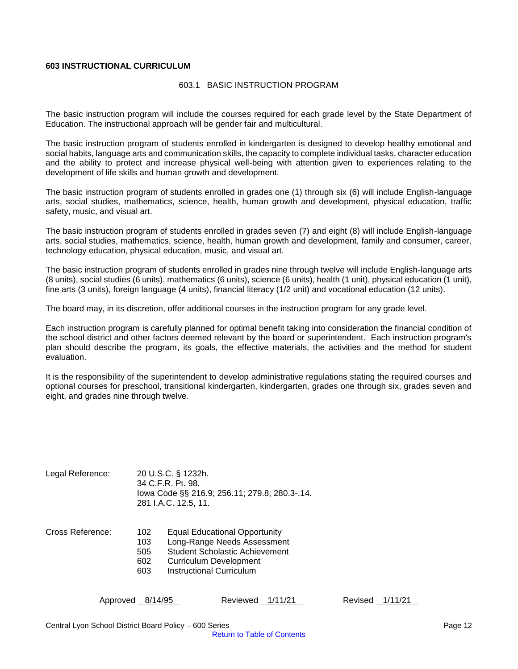## <span id="page-11-1"></span><span id="page-11-0"></span>**603 INSTRUCTIONAL CURRICULUM**

#### 603.1 BASIC INSTRUCTION PROGRAM

The basic instruction program will include the courses required for each grade level by the State Department of Education. The instructional approach will be gender fair and multicultural.

The basic instruction program of students enrolled in kindergarten is designed to develop healthy emotional and social habits, language arts and communication skills, the capacity to complete individual tasks, character education and the ability to protect and increase physical well-being with attention given to experiences relating to the development of life skills and human growth and development.

The basic instruction program of students enrolled in grades one (1) through six (6) will include English-language arts, social studies, mathematics, science, health, human growth and development, physical education, traffic safety, music, and visual art.

The basic instruction program of students enrolled in grades seven (7) and eight (8) will include English-language arts, social studies, mathematics, science, health, human growth and development, family and consumer, career, technology education, physical education, music, and visual art.

The basic instruction program of students enrolled in grades nine through twelve will include English-language arts (8 units), social studies (6 units), mathematics (6 units), science (6 units), health (1 unit), physical education (1 unit), fine arts (3 units), foreign language (4 units), financial literacy (1/2 unit) and vocational education (12 units).

The board may, in its discretion, offer additional courses in the instruction program for any grade level.

Each instruction program is carefully planned for optimal benefit taking into consideration the financial condition of the school district and other factors deemed relevant by the board or superintendent. Each instruction program's plan should describe the program, its goals, the effective materials, the activities and the method for student evaluation.

It is the responsibility of the superintendent to develop administrative regulations stating the required courses and optional courses for preschool, transitional kindergarten, kindergarten, grades one through six, grades seven and eight, and grades nine through twelve.

| Legal Reference: |                                 | 20 U.S.C. § 1232h.<br>34 C.F.R. Pt. 98.<br>lowa Code §§ 216.9; 256.11; 279.8; 280.3-.14.<br>281 I.A.C. 12.5, 11.                                                          |
|------------------|---------------------------------|---------------------------------------------------------------------------------------------------------------------------------------------------------------------------|
| Cross Reference: | 102<br>103<br>505<br>602<br>603 | <b>Equal Educational Opportunity</b><br>Long-Range Needs Assessment<br>Student Scholastic Achievement<br><b>Curriculum Development</b><br><b>Instructional Curriculum</b> |

| Reviewed 1/11/21<br>Approved 8/14/95 |  | Revised 1/11/21 |
|--------------------------------------|--|-----------------|
|--------------------------------------|--|-----------------|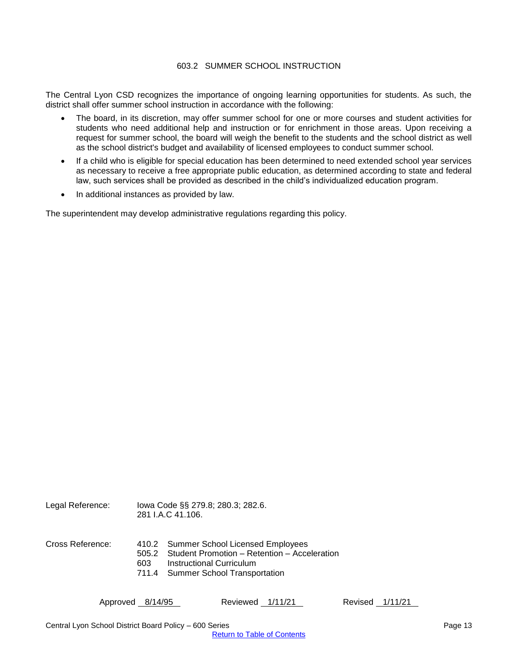## 603.2 SUMMER SCHOOL INSTRUCTION

<span id="page-12-0"></span>The Central Lyon CSD recognizes the importance of ongoing learning opportunities for students. As such, the district shall offer summer school instruction in accordance with the following:

- The board, in its discretion, may offer summer school for one or more courses and student activities for students who need additional help and instruction or for enrichment in those areas. Upon receiving a request for summer school, the board will weigh the benefit to the students and the school district as well as the school district's budget and availability of licensed employees to conduct summer school.
- If a child who is eligible for special education has been determined to need extended school year services as necessary to receive a free appropriate public education, as determined according to state and federal law, such services shall be provided as described in the child's individualized education program.
- In additional instances as provided by law.

The superintendent may develop administrative regulations regarding this policy.

| Legal Reference: |     | lowa Code §§ 279.8; 280.3; 282.6.<br>281 I.A.C 41.106.                                                                                                         |
|------------------|-----|----------------------------------------------------------------------------------------------------------------------------------------------------------------|
| Cross Reference: | 603 | 410.2 Summer School Licensed Employees<br>505.2 Student Promotion - Retention - Acceleration<br>Instructional Curriculum<br>711.4 Summer School Transportation |

Approved 8/14/95 Reviewed 1/11/21 Revised 1/11/21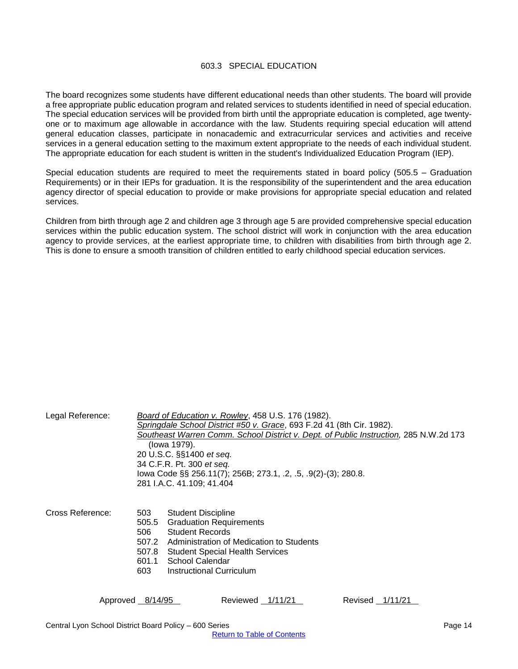## 603.3 SPECIAL EDUCATION

<span id="page-13-0"></span>The board recognizes some students have different educational needs than other students. The board will provide a free appropriate public education program and related services to students identified in need of special education. The special education services will be provided from birth until the appropriate education is completed, age twentyone or to maximum age allowable in accordance with the law. Students requiring special education will attend general education classes, participate in nonacademic and extracurricular services and activities and receive services in a general education setting to the maximum extent appropriate to the needs of each individual student. The appropriate education for each student is written in the student's Individualized Education Program (IEP).

Special education students are required to meet the requirements stated in board policy (505.5 – Graduation Requirements) or in their IEPs for graduation. It is the responsibility of the superintendent and the area education agency director of special education to provide or make provisions for appropriate special education and related services.

Children from birth through age 2 and children age 3 through age 5 are provided comprehensive special education services within the public education system. The school district will work in conjunction with the area education agency to provide services, at the earliest appropriate time, to children with disabilities from birth through age 2. This is done to ensure a smooth transition of children entitled to early childhood special education services.

| Legal Reference: | Board of Education v. Rowley, 458 U.S. 176 (1982).<br>Springdale School District #50 v. Grace, 693 F.2d 41 (8th Cir. 1982).<br>Southeast Warren Comm. School District v. Dept. of Public Instruction, 285 N.W.2d 173<br>(lowa 1979).<br>20 U.S.C. §§1400 et seq.<br>34 C.F.R. Pt. 300 et seq. |  |  |  |  |
|------------------|-----------------------------------------------------------------------------------------------------------------------------------------------------------------------------------------------------------------------------------------------------------------------------------------------|--|--|--|--|
|                  | lowa Code §§ 256.11(7); 256B; 273.1, .2, .5, .9(2)-(3); 280.8.<br>281 I.A.C. 41.109; 41.404                                                                                                                                                                                                   |  |  |  |  |
| Cross Reference: | <b>Student Discipline</b><br>503<br><b>Graduation Requirements</b><br>505.5<br>506<br>Student Records<br>Administration of Medication to Students<br>507.2<br>507.8<br><b>Student Special Health Services</b><br>School Calendar<br>601.1<br>Instructional Curriculum<br>603                  |  |  |  |  |
|                  | Approved 8/14/95<br>Reviewed 1/11/21<br>Revised 1/11/21                                                                                                                                                                                                                                       |  |  |  |  |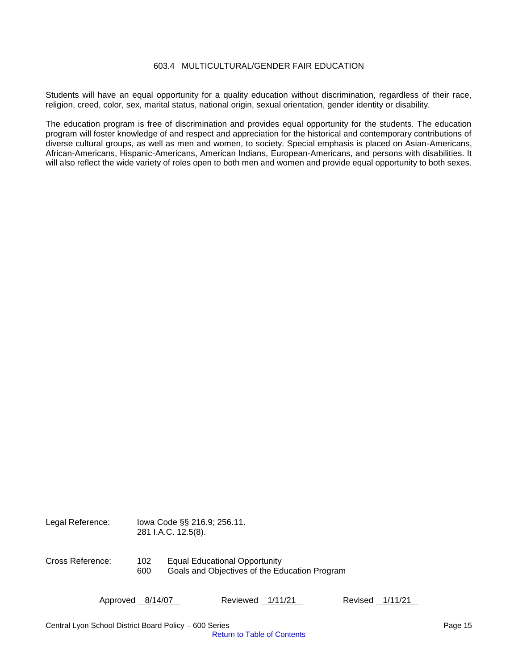## 603.4 MULTICULTURAL/GENDER FAIR EDUCATION

<span id="page-14-0"></span>Students will have an equal opportunity for a quality education without discrimination, regardless of their race, religion, creed, color, sex, marital status, national origin, sexual orientation, gender identity or disability.

The education program is free of discrimination and provides equal opportunity for the students. The education program will foster knowledge of and respect and appreciation for the historical and contemporary contributions of diverse cultural groups, as well as men and women, to society. Special emphasis is placed on Asian-Americans, African-Americans, Hispanic-Americans, American Indians, European-Americans, and persons with disabilities. It will also reflect the wide variety of roles open to both men and women and provide equal opportunity to both sexes.

Legal Reference: Iowa Code §§ 216.9; 256.11. 281 I.A.C. 12.5(8). Cross Reference: 102 Equal Educational Opportunity 600 Goals and Objectives of the Education Program

Approved 8/14/07 Reviewed 1/11/21 Revised 1/11/21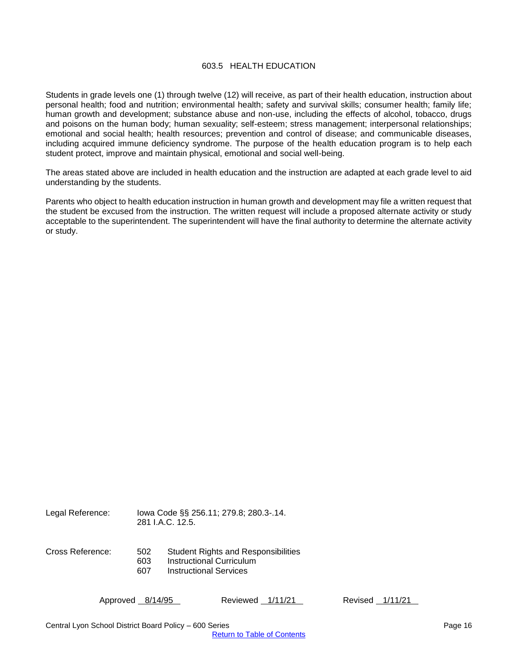## 603.5 HEALTH EDUCATION

<span id="page-15-0"></span>Students in grade levels one (1) through twelve (12) will receive, as part of their health education, instruction about personal health; food and nutrition; environmental health; safety and survival skills; consumer health; family life; human growth and development; substance abuse and non-use, including the effects of alcohol, tobacco, drugs and poisons on the human body; human sexuality; self-esteem; stress management; interpersonal relationships; emotional and social health; health resources; prevention and control of disease; and communicable diseases, including acquired immune deficiency syndrome. The purpose of the health education program is to help each student protect, improve and maintain physical, emotional and social well-being.

The areas stated above are included in health education and the instruction are adapted at each grade level to aid understanding by the students.

Parents who object to health education instruction in human growth and development may file a written request that the student be excused from the instruction. The written request will include a proposed alternate activity or study acceptable to the superintendent. The superintendent will have the final authority to determine the alternate activity or study.

| Legal Reference: |                   | lowa Code §§ 256.11; 279.8; 280.3-.14.<br>281 J.A.C. 12.5.                                              |  |
|------------------|-------------------|---------------------------------------------------------------------------------------------------------|--|
| Cross Reference: | 502<br>603<br>607 | <b>Student Rights and Responsibilities</b><br>Instructional Curriculum<br><b>Instructional Services</b> |  |

Approved 8/14/95 Reviewed 1/11/21 Revised 1/11/21

Central Lyon School District Board Policy – 600 Series Page 16

[Return to Table of Contents](#page-0-0)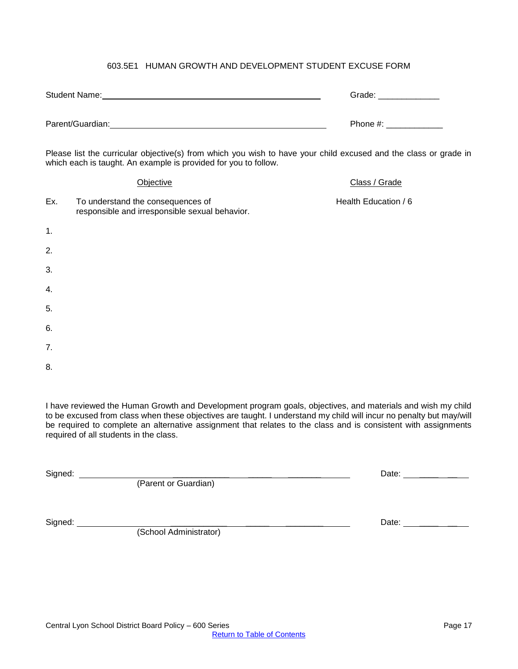## 603.5E1 HUMAN GROWTH AND DEVELOPMENT STUDENT EXCUSE FORM

<span id="page-16-0"></span>

|     | Student Name: Manneled and Manneled and Manneled and Manneled and Manneled and Manneled and Manneled and Manne                                                                      | Grade: ______________  |
|-----|-------------------------------------------------------------------------------------------------------------------------------------------------------------------------------------|------------------------|
|     |                                                                                                                                                                                     | Phone #: _____________ |
|     | Please list the curricular objective(s) from which you wish to have your child excused and the class or grade in<br>which each is taught. An example is provided for you to follow. |                        |
|     | <b>Objective</b>                                                                                                                                                                    | Class / Grade          |
| Ex. | To understand the consequences of<br>responsible and irresponsible sexual behavior.                                                                                                 | Health Education / 6   |
| 1.  |                                                                                                                                                                                     |                        |
| 2.  |                                                                                                                                                                                     |                        |
| 3.  |                                                                                                                                                                                     |                        |
| 4.  |                                                                                                                                                                                     |                        |
| 5.  |                                                                                                                                                                                     |                        |
| 6.  |                                                                                                                                                                                     |                        |
| 7.  |                                                                                                                                                                                     |                        |
| 8.  |                                                                                                                                                                                     |                        |

I have reviewed the Human Growth and Development program goals, objectives, and materials and wish my child to be excused from class when these objectives are taught. I understand my child will incur no penalty but may/will be required to complete an alternative assignment that relates to the class and is consistent with assignments required of all students in the class.

(Parent or Guardian)

(School Administrator)

Signed: \_\_\_\_\_\_\_\_\_\_\_\_ \_\_\_\_\_ \_\_\_\_\_\_\_ Date: \_\_\_\_ \_\_

Signed: \_\_\_\_\_\_\_\_\_\_\_\_ \_\_\_\_\_ \_\_\_\_\_\_\_\_ Date: \_\_\_\_ \_\_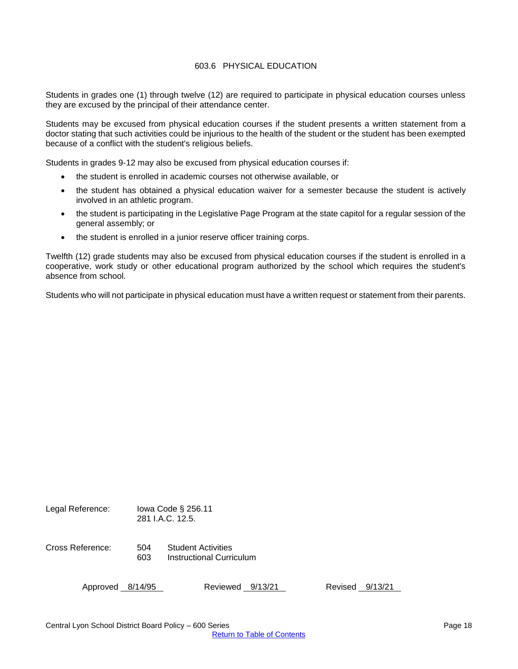## 603.6 PHYSICAL EDUCATION

Students in grades one (1) through twelve (12) are required to participate in physical education courses unless they are excused by the principal of their attendance center.

Students may be excused from physical education courses if the student presents a written statement from a doctor stating that such activities could be injurious to the health of the student or the student has been exempted because of a conflict with the student's religious beliefs.

Students in grades 9-12 may also be excused from physical education courses if:

- the student is enrolled in academic courses not otherwise available, or
- the student has obtained a physical education waiver for a semester because the student is actively involved in an athletic program.
- the student is participating in the Legislative Page Program at the state capitol for a regular session of the general assembly; or
- the student is enrolled in a junior reserve officer training corps.

Twelfth (12) grade students may also be excused from physical education courses if the student is enrolled in a cooperative, work study or other educational program authorized by the school which requires the student's absence from school.

Students who will not participate in physical education must have a written request or statement from their parents.

| Legal Reference: |            | lowa Code § 256.11<br>281 I.A.C. 12.5.                |                    |  |  |  |
|------------------|------------|-------------------------------------------------------|--------------------|--|--|--|
| Cross Reference: | 504<br>603 | <b>Student Activities</b><br>Instructional Curriculum |                    |  |  |  |
| Approved 8/14/95 |            | Reviewed 9/13/21                                      | Revised<br>9/13/21 |  |  |  |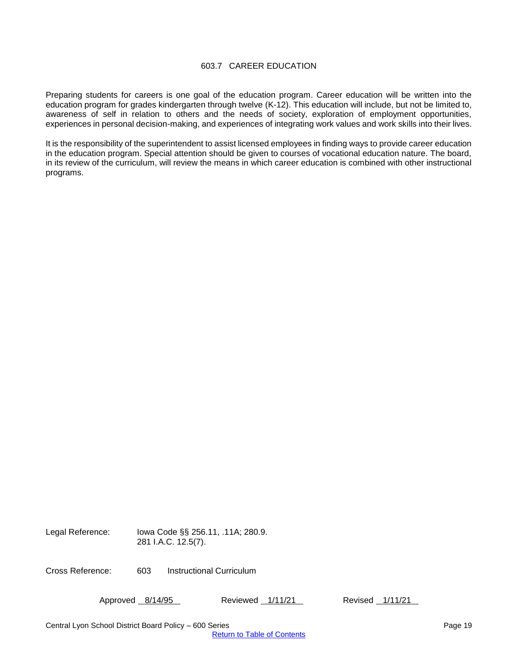## 603.7 CAREER EDUCATION

<span id="page-18-0"></span>Preparing students for careers is one goal of the education program. Career education will be written into the education program for grades kindergarten through twelve (K-12). This education will include, but not be limited to, awareness of self in relation to others and the needs of society, exploration of employment opportunities, experiences in personal decision-making, and experiences of integrating work values and work skills into their lives.

It is the responsibility of the superintendent to assist licensed employees in finding ways to provide career education in the education program. Special attention should be given to courses of vocational education nature. The board, in its review of the curriculum, will review the means in which career education is combined with other instructional programs.

Legal Reference: Iowa Code §§ 256.11, .11A; 280.9. 281 I.A.C. 12.5(7).

Cross Reference: 603 Instructional Curriculum

Approved 8/14/95 Reviewed 1/11/21 Revised 1/11/21

Central Lyon School District Board Policy – 600 Series Page 19 and 200 Series Page 19

[Return to Table of Contents](#page-0-0)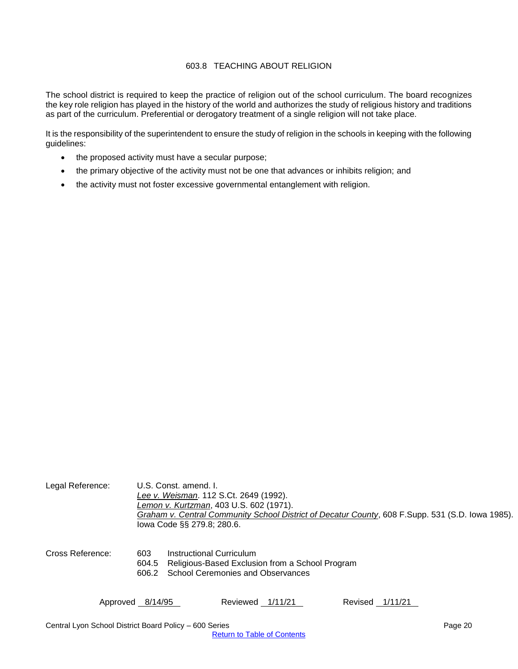## 603.8 TEACHING ABOUT RELIGION

<span id="page-19-0"></span>The school district is required to keep the practice of religion out of the school curriculum. The board recognizes the key role religion has played in the history of the world and authorizes the study of religious history and traditions as part of the curriculum. Preferential or derogatory treatment of a single religion will not take place.

It is the responsibility of the superintendent to ensure the study of religion in the schools in keeping with the following guidelines:

- the proposed activity must have a secular purpose;
- the primary objective of the activity must not be one that advances or inhibits religion; and
- the activity must not foster excessive governmental entanglement with religion.

| Legal Reference: |                       | U.S. Const. amend. I.<br>Lee v. Weisman. 112 S.Ct. 2649 (1992).<br>Lemon v. Kurtzman, 403 U.S. 602 (1971).<br>Graham v. Central Community School District of Decatur County, 608 F.Supp. 531 (S.D. Iowa 1985).<br>lowa Code §§ 279.8; 280.6. |
|------------------|-----------------------|----------------------------------------------------------------------------------------------------------------------------------------------------------------------------------------------------------------------------------------------|
| Cross Reference: | 603<br>604.5<br>606.2 | Instructional Curriculum<br>Religious-Based Exclusion from a School Program<br><b>School Ceremonies and Observances</b>                                                                                                                      |
| Approved         | 8/14/95               | Reviewed 1/11/21<br>Revised<br>1/11/21                                                                                                                                                                                                       |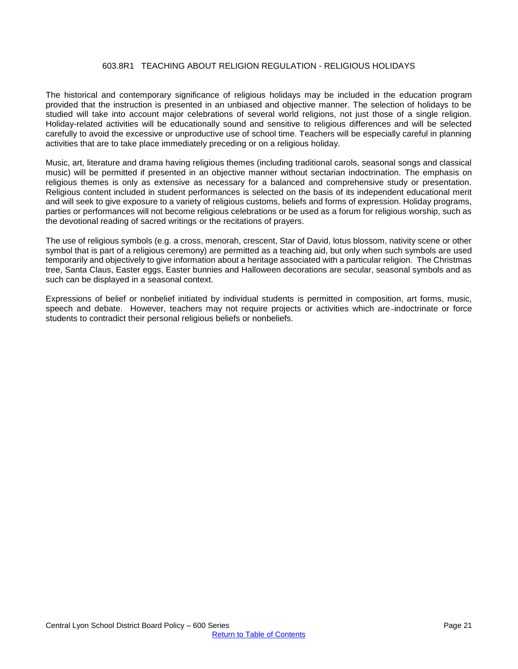## 603.8R1 TEACHING ABOUT RELIGION REGULATION - RELIGIOUS HOLIDAYS

<span id="page-20-0"></span>The historical and contemporary significance of religious holidays may be included in the education program provided that the instruction is presented in an unbiased and objective manner. The selection of holidays to be studied will take into account major celebrations of several world religions, not just those of a single religion. Holiday-related activities will be educationally sound and sensitive to religious differences and will be selected carefully to avoid the excessive or unproductive use of school time. Teachers will be especially careful in planning activities that are to take place immediately preceding or on a religious holiday.

Music, art, literature and drama having religious themes (including traditional carols, seasonal songs and classical music) will be permitted if presented in an objective manner without sectarian indoctrination. The emphasis on religious themes is only as extensive as necessary for a balanced and comprehensive study or presentation. Religious content included in student performances is selected on the basis of its independent educational merit and will seek to give exposure to a variety of religious customs, beliefs and forms of expression. Holiday programs, parties or performances will not become religious celebrations or be used as a forum for religious worship, such as the devotional reading of sacred writings or the recitations of prayers.

The use of religious symbols (e.g. a cross, menorah, crescent, Star of David, lotus blossom, nativity scene or other symbol that is part of a religious ceremony) are permitted as a teaching aid, but only when such symbols are used temporarily and objectively to give information about a heritage associated with a particular religion. The Christmas tree, Santa Claus, Easter eggs, Easter bunnies and Halloween decorations are secular, seasonal symbols and as such can be displayed in a seasonal context.

Expressions of belief or nonbelief initiated by individual students is permitted in composition, art forms, music, speech and debate. However, teachers may not require projects or activities which are-indoctrinate or force students to contradict their personal religious beliefs or nonbeliefs.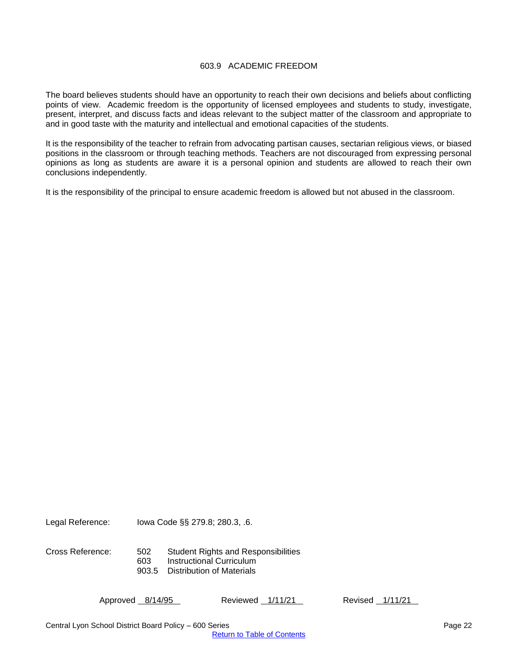## 603.9 ACADEMIC FREEDOM

<span id="page-21-0"></span>The board believes students should have an opportunity to reach their own decisions and beliefs about conflicting points of view. Academic freedom is the opportunity of licensed employees and students to study, investigate, present, interpret, and discuss facts and ideas relevant to the subject matter of the classroom and appropriate to and in good taste with the maturity and intellectual and emotional capacities of the students.

It is the responsibility of the teacher to refrain from advocating partisan causes, sectarian religious views, or biased positions in the classroom or through teaching methods. Teachers are not discouraged from expressing personal opinions as long as students are aware it is a personal opinion and students are allowed to reach their own conclusions independently.

It is the responsibility of the principal to ensure academic freedom is allowed but not abused in the classroom.

Legal Reference: Iowa Code §§ 279.8; 280.3, .6.

Cross Reference: 502 Student Rights and Responsibilities 603 Instructional Curriculum 903.5 Distribution of Materials

Approved 8/14/95 Reviewed 1/11/21 Revised 1/11/21

Central Lyon School District Board Policy – 600 Series Page 22

[Return to Table of Contents](#page-0-0)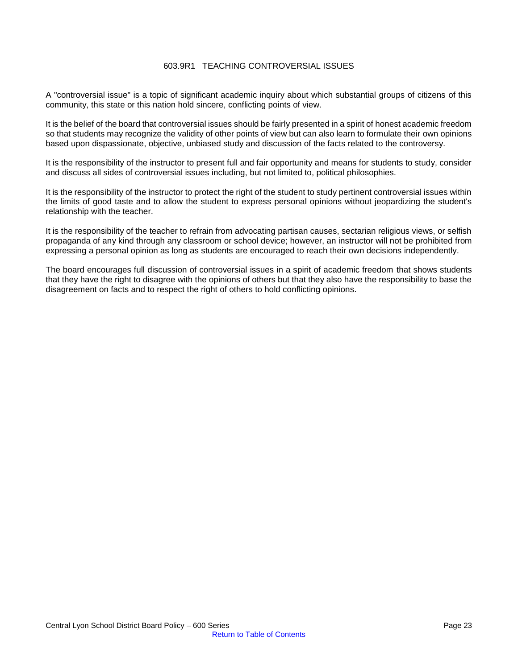## 603.9R1 TEACHING CONTROVERSIAL ISSUES

<span id="page-22-0"></span>A "controversial issue" is a topic of significant academic inquiry about which substantial groups of citizens of this community, this state or this nation hold sincere, conflicting points of view.

It is the belief of the board that controversial issues should be fairly presented in a spirit of honest academic freedom so that students may recognize the validity of other points of view but can also learn to formulate their own opinions based upon dispassionate, objective, unbiased study and discussion of the facts related to the controversy.

It is the responsibility of the instructor to present full and fair opportunity and means for students to study, consider and discuss all sides of controversial issues including, but not limited to, political philosophies.

It is the responsibility of the instructor to protect the right of the student to study pertinent controversial issues within the limits of good taste and to allow the student to express personal opinions without jeopardizing the student's relationship with the teacher.

It is the responsibility of the teacher to refrain from advocating partisan causes, sectarian religious views, or selfish propaganda of any kind through any classroom or school device; however, an instructor will not be prohibited from expressing a personal opinion as long as students are encouraged to reach their own decisions independently.

The board encourages full discussion of controversial issues in a spirit of academic freedom that shows students that they have the right to disagree with the opinions of others but that they also have the responsibility to base the disagreement on facts and to respect the right of others to hold conflicting opinions.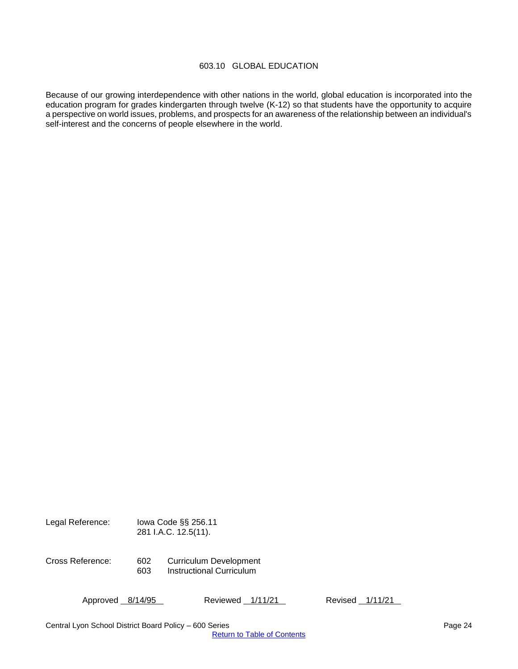## 603.10 GLOBAL EDUCATION

<span id="page-23-0"></span>Because of our growing interdependence with other nations in the world, global education is incorporated into the education program for grades kindergarten through twelve (K-12) so that students have the opportunity to acquire a perspective on world issues, problems, and prospects for an awareness of the relationship between an individual's self-interest and the concerns of people elsewhere in the world.

Legal Reference: Iowa Code §§ 256.11 281 I.A.C. 12.5(11). Cross Reference: 602 Curriculum Development Instructional Curriculum

Approved 8/14/95 Reviewed 1/11/21 Revised 1/11/21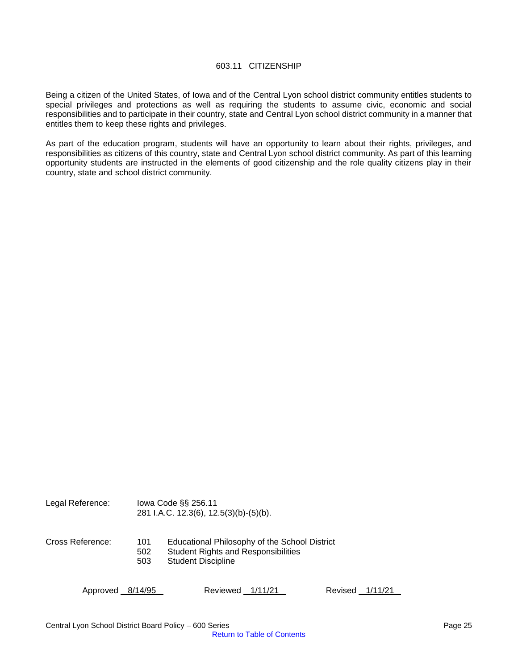## 603.11 CITIZENSHIP

<span id="page-24-0"></span>Being a citizen of the United States, of Iowa and of the Central Lyon school district community entitles students to special privileges and protections as well as requiring the students to assume civic, economic and social responsibilities and to participate in their country, state and Central Lyon school district community in a manner that entitles them to keep these rights and privileges.

As part of the education program, students will have an opportunity to learn about their rights, privileges, and responsibilities as citizens of this country, state and Central Lyon school district community. As part of this learning opportunity students are instructed in the elements of good citizenship and the role quality citizens play in their country, state and school district community.

Legal Reference: Iowa Code §§ 256.11 281 I.A.C. 12.3(6), 12.5(3)(b)-(5)(b). Cross Reference: 101 Educational Philosophy of the School District 502 Student Rights and Responsibilities 503 Student Discipline Approved 8/14/95 Reviewed 1/11/21 Revised 1/11/21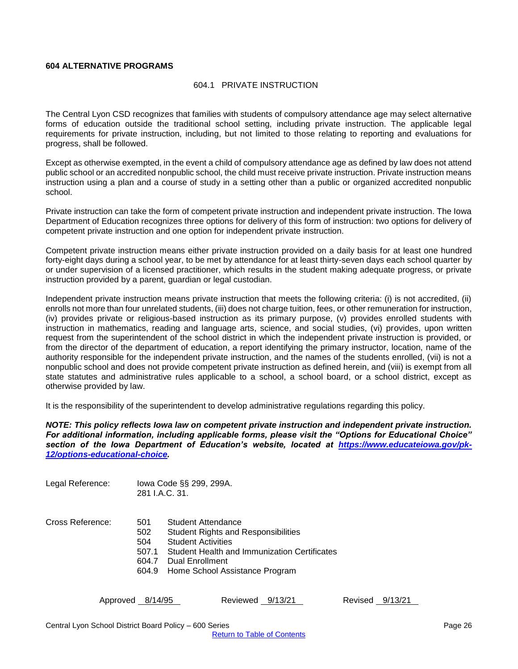## <span id="page-25-0"></span>**604 ALTERNATIVE PROGRAMS**

#### 604.1 PRIVATE INSTRUCTION

The Central Lyon CSD recognizes that families with students of compulsory attendance age may select alternative forms of education outside the traditional school setting, including private instruction. The applicable legal requirements for private instruction, including, but not limited to those relating to reporting and evaluations for progress, shall be followed.

Except as otherwise exempted, in the event a child of compulsory attendance age as defined by law does not attend public school or an accredited nonpublic school, the child must receive private instruction. Private instruction means instruction using a plan and a course of study in a setting other than a public or organized accredited nonpublic school.

Private instruction can take the form of competent private instruction and independent private instruction. The Iowa Department of Education recognizes three options for delivery of this form of instruction: two options for delivery of competent private instruction and one option for independent private instruction.

Competent private instruction means either private instruction provided on a daily basis for at least one hundred forty-eight days during a school year, to be met by attendance for at least thirty-seven days each school quarter by or under supervision of a licensed practitioner, which results in the student making adequate progress, or private instruction provided by a parent, guardian or legal custodian.

Independent private instruction means private instruction that meets the following criteria: (i) is not accredited, (ii) enrolls not more than four unrelated students, (iii) does not charge tuition, fees, or other remuneration for instruction, (iv) provides private or religious-based instruction as its primary purpose, (v) provides enrolled students with instruction in mathematics, reading and language arts, science, and social studies, (vi) provides, upon written request from the superintendent of the school district in which the independent private instruction is provided, or from the director of the department of education, a report identifying the primary instructor, location, name of the authority responsible for the independent private instruction, and the names of the students enrolled, (vii) is not a nonpublic school and does not provide competent private instruction as defined herein, and (viii) is exempt from all state statutes and administrative rules applicable to a school, a school board, or a school district, except as otherwise provided by law.

It is the responsibility of the superintendent to develop administrative regulations regarding this policy.

*NOTE: This policy reflects Iowa law on competent private instruction and independent private instruction. For additional information, including applicable forms, please visit the "Options for Educational Choice"*  section of the lowa Department of Education's website, located at [https://www.educateiowa.gov/pk-](https://www.educateiowa.gov/pk-12/options-educational-choice)*[12/options-educational-choice.](https://www.educateiowa.gov/pk-12/options-educational-choice)* 

| Legal Reference: | 281 I.A.C. 31.                               | lowa Code §§ 299, 299A.                                                                                                                                                                            |
|------------------|----------------------------------------------|----------------------------------------------------------------------------------------------------------------------------------------------------------------------------------------------------|
| Cross Reference: | 501<br>502<br>504<br>507.1<br>604.7<br>604.9 | Student Attendance<br><b>Student Rights and Responsibilities</b><br><b>Student Activities</b><br>Student Health and Immunization Certificates<br>Dual Enrollment<br>Home School Assistance Program |

Approved 8/14/95 Reviewed 9/13/21 Revised 9/13/21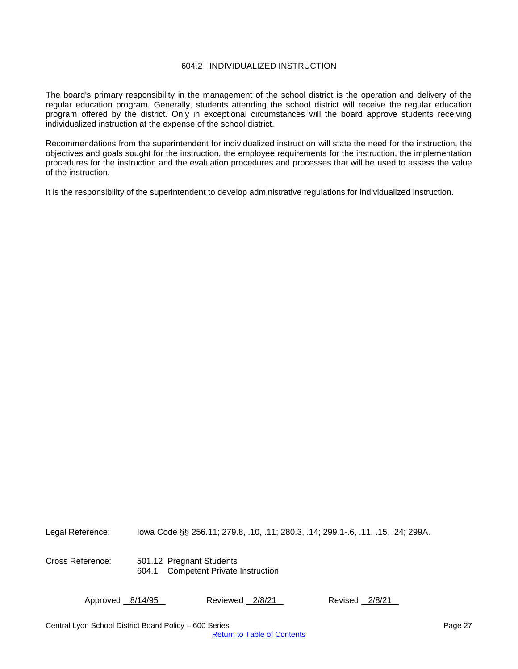#### 604.2 INDIVIDUALIZED INSTRUCTION

<span id="page-26-0"></span>The board's primary responsibility in the management of the school district is the operation and delivery of the regular education program. Generally, students attending the school district will receive the regular education program offered by the district. Only in exceptional circumstances will the board approve students receiving individualized instruction at the expense of the school district.

Recommendations from the superintendent for individualized instruction will state the need for the instruction, the objectives and goals sought for the instruction, the employee requirements for the instruction, the implementation procedures for the instruction and the evaluation procedures and processes that will be used to assess the value of the instruction.

It is the responsibility of the superintendent to develop administrative regulations for individualized instruction.

Legal Reference: Iowa Code §§ 256.11; 279.8, .10, .11; 280.3, .14; 299.1-.6, .11, .15, .24; 299A.

Cross Reference: 501.12 Pregnant Students 604.1 Competent Private Instruction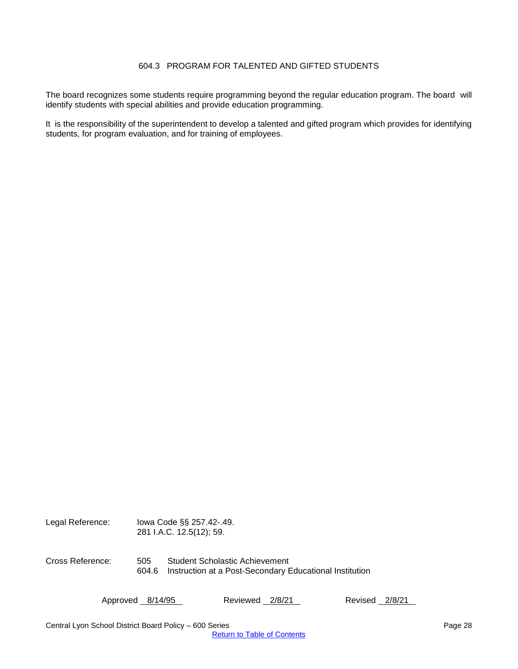# 604.3 PROGRAM FOR TALENTED AND GIFTED STUDENTS

<span id="page-27-0"></span>The board recognizes some students require programming beyond the regular education program. The board will identify students with special abilities and provide education programming.

It is the responsibility of the superintendent to develop a talented and gifted program which provides for identifying students, for program evaluation, and for training of employees.

Legal Reference: Iowa Code §§ 257.42-.49. 281 I.A.C. 12.5(12); 59. Cross Reference: 505 Student Scholastic Achievement 604.6 Instruction at a Post-Secondary Educational Institution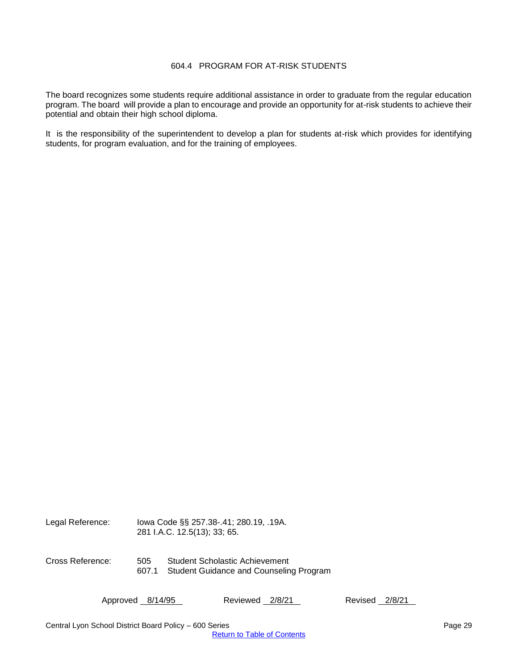## 604.4 PROGRAM FOR AT-RISK STUDENTS

<span id="page-28-0"></span>The board recognizes some students require additional assistance in order to graduate from the regular education program. The board will provide a plan to encourage and provide an opportunity for at-risk students to achieve their potential and obtain their high school diploma.

It is the responsibility of the superintendent to develop a plan for students at-risk which provides for identifying students, for program evaluation, and for the training of employees.

| Legal Reference: | lowa Code §§ 257.38-.41; 280.19, .19A.<br>281 I.A.C. 12.5(13); 33; 65. |                                                                           |  |
|------------------|------------------------------------------------------------------------|---------------------------------------------------------------------------|--|
| Cross Reference: | 505<br>607.1                                                           | Student Scholastic Achievement<br>Student Guidance and Counseling Program |  |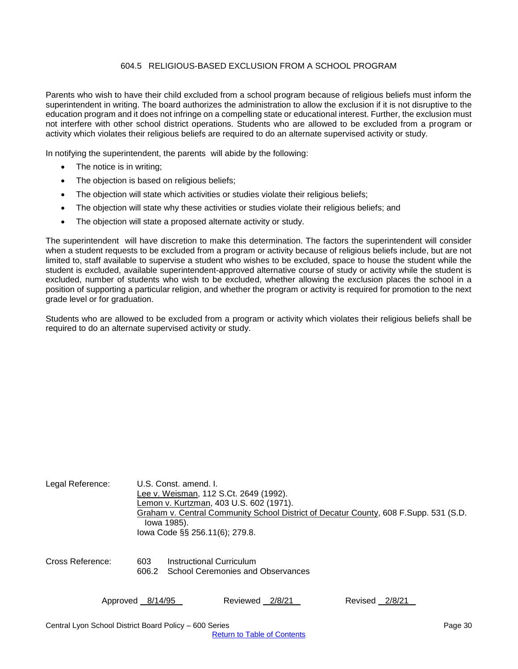## 604.5 RELIGIOUS-BASED EXCLUSION FROM A SCHOOL PROGRAM

<span id="page-29-0"></span>Parents who wish to have their child excluded from a school program because of religious beliefs must inform the superintendent in writing. The board authorizes the administration to allow the exclusion if it is not disruptive to the education program and it does not infringe on a compelling state or educational interest. Further, the exclusion must not interfere with other school district operations. Students who are allowed to be excluded from a program or activity which violates their religious beliefs are required to do an alternate supervised activity or study.

In notifying the superintendent, the parents will abide by the following:

- The notice is in writing;
- The objection is based on religious beliefs;
- The objection will state which activities or studies violate their religious beliefs;
- The objection will state why these activities or studies violate their religious beliefs; and
- The objection will state a proposed alternate activity or study.

The superintendent will have discretion to make this determination. The factors the superintendent will consider when a student requests to be excluded from a program or activity because of religious beliefs include, but are not limited to, staff available to supervise a student who wishes to be excluded, space to house the student while the student is excluded, available superintendent-approved alternative course of study or activity while the student is excluded, number of students who wish to be excluded, whether allowing the exclusion places the school in a position of supporting a particular religion, and whether the program or activity is required for promotion to the next grade level or for graduation.

Students who are allowed to be excluded from a program or activity which violates their religious beliefs shall be required to do an alternate supervised activity or study.

| Legal Reference: | U.S. Const. amend. I.<br>Lee v. Weisman, 112 S.Ct. 2649 (1992).<br>Lemon v. Kurtzman, 403 U.S. 602 (1971).<br>lowa 1985).<br>lowa Code §§ 256.11(6); 279.8. | Graham v. Central Community School District of Decatur County, 608 F. Supp. 531 (S.D. |                |
|------------------|-------------------------------------------------------------------------------------------------------------------------------------------------------------|---------------------------------------------------------------------------------------|----------------|
| Cross Reference: | 603<br>606.2                                                                                                                                                | Instructional Curriculum<br><b>School Ceremonies and Observances</b>                  |                |
|                  | Approved 8/14/95                                                                                                                                            | Reviewed 2/8/21                                                                       | Revised 2/8/21 |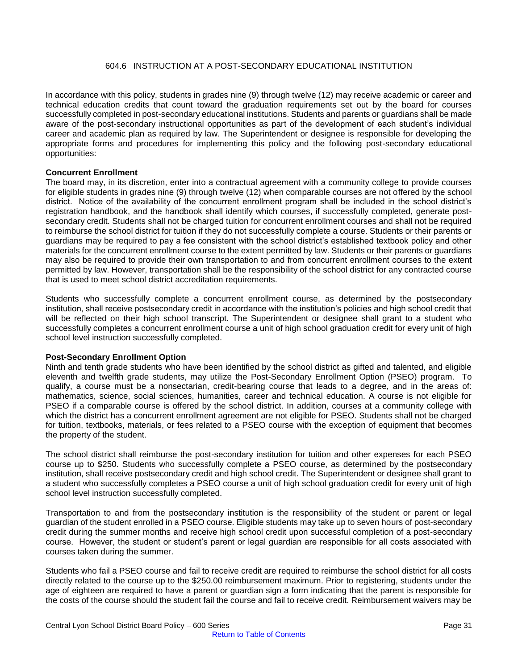## 604.6 INSTRUCTION AT A POST-SECONDARY EDUCATIONAL INSTITUTION

<span id="page-30-0"></span>In accordance with this policy, students in grades nine (9) through twelve (12) may receive academic or career and technical education credits that count toward the graduation requirements set out by the board for courses successfully completed in post-secondary educational institutions. Students and parents or guardians shall be made aware of the post-secondary instructional opportunities as part of the development of each student's individual career and academic plan as required by law. The Superintendent or designee is responsible for developing the appropriate forms and procedures for implementing this policy and the following post-secondary educational opportunities:

## **Concurrent Enrollment**

The board may, in its discretion, enter into a contractual agreement with a community college to provide courses for eligible students in grades nine (9) through twelve (12) when comparable courses are not offered by the school district. Notice of the availability of the concurrent enrollment program shall be included in the school district's registration handbook, and the handbook shall identify which courses, if successfully completed, generate postsecondary credit. Students shall not be charged tuition for concurrent enrollment courses and shall not be required to reimburse the school district for tuition if they do not successfully complete a course. Students or their parents or guardians may be required to pay a fee consistent with the school district's established textbook policy and other materials for the concurrent enrollment course to the extent permitted by law. Students or their parents or guardians may also be required to provide their own transportation to and from concurrent enrollment courses to the extent permitted by law. However, transportation shall be the responsibility of the school district for any contracted course that is used to meet school district accreditation requirements.

Students who successfully complete a concurrent enrollment course, as determined by the postsecondary institution, shall receive postsecondary credit in accordance with the institution's policies and high school credit that will be reflected on their high school transcript. The Superintendent or designee shall grant to a student who successfully completes a concurrent enrollment course a unit of high school graduation credit for every unit of high school level instruction successfully completed.

## **Post-Secondary Enrollment Option**

Ninth and tenth grade students who have been identified by the school district as gifted and talented, and eligible eleventh and twelfth grade students, may utilize the Post-Secondary Enrollment Option (PSEO) program. To qualify, a course must be a nonsectarian, credit-bearing course that leads to a degree, and in the areas of: mathematics, science, social sciences, humanities, career and technical education. A course is not eligible for PSEO if a comparable course is offered by the school district. In addition, courses at a community college with which the district has a concurrent enrollment agreement are not eligible for PSEO. Students shall not be charged for tuition, textbooks, materials, or fees related to a PSEO course with the exception of equipment that becomes the property of the student.

The school district shall reimburse the post-secondary institution for tuition and other expenses for each PSEO course up to \$250. Students who successfully complete a PSEO course, as determined by the postsecondary institution, shall receive postsecondary credit and high school credit. The Superintendent or designee shall grant to a student who successfully completes a PSEO course a unit of high school graduation credit for every unit of high school level instruction successfully completed.

Transportation to and from the postsecondary institution is the responsibility of the student or parent or legal guardian of the student enrolled in a PSEO course. Eligible students may take up to seven hours of post-secondary credit during the summer months and receive high school credit upon successful completion of a post-secondary course. However, the student or student's parent or legal guardian are responsible for all costs associated with courses taken during the summer.

Students who fail a PSEO course and fail to receive credit are required to reimburse the school district for all costs directly related to the course up to the \$250.00 reimbursement maximum. Prior to registering, students under the age of eighteen are required to have a parent or guardian sign a form indicating that the parent is responsible for the costs of the course should the student fail the course and fail to receive credit. Reimbursement waivers may be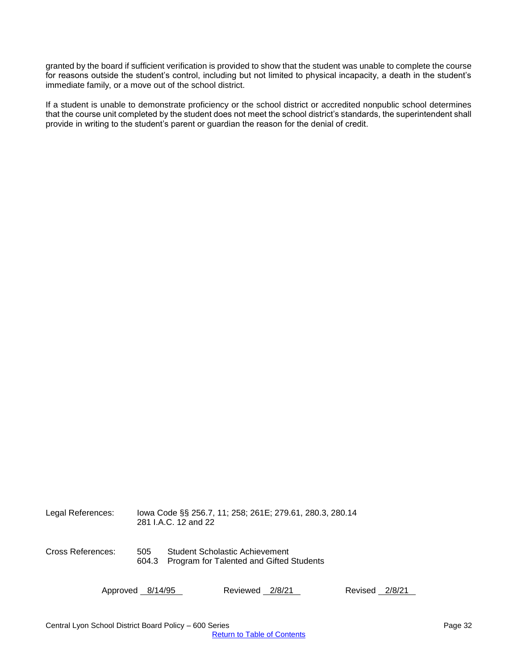granted by the board if sufficient verification is provided to show that the student was unable to complete the course for reasons outside the student's control, including but not limited to physical incapacity, a death in the student's immediate family, or a move out of the school district.

If a student is unable to demonstrate proficiency or the school district or accredited nonpublic school determines that the course unit completed by the student does not meet the school district's standards, the superintendent shall provide in writing to the student's parent or guardian the reason for the denial of credit.

| Legal References: | lowa Code §§ 256.7, 11; 258; 261E; 279.61, 280.3, 280.14<br>281 J.A.C. 12 and 22 |  |                                                                            |         |        |  |
|-------------------|----------------------------------------------------------------------------------|--|----------------------------------------------------------------------------|---------|--------|--|
| Cross References: | 505<br>604.3                                                                     |  | Student Scholastic Achievement<br>Program for Talented and Gifted Students |         |        |  |
| Approved 8/14/95  |                                                                                  |  | Reviewed 2/8/21                                                            | Revised | 2/8/21 |  |

Central Lyon School District Board Policy – 600 Series Page 32

[Return to Table of Contents](#page-0-0)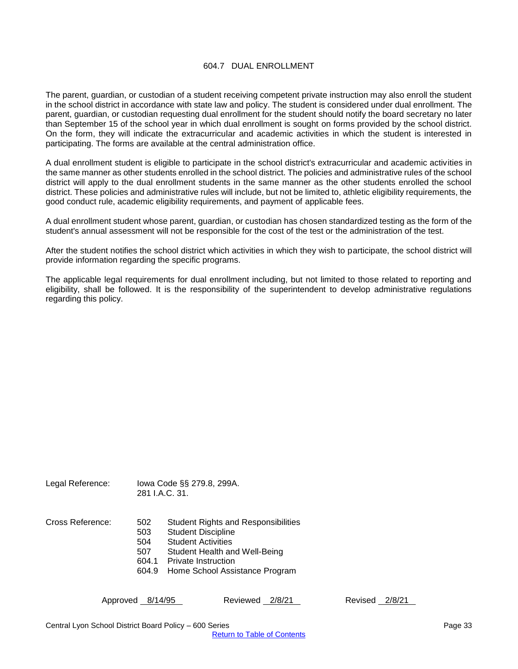#### 604.7 DUAL ENROLLMENT

<span id="page-32-0"></span>The parent, guardian, or custodian of a student receiving competent private instruction may also enroll the student in the school district in accordance with state law and policy. The student is considered under dual enrollment. The parent, guardian, or custodian requesting dual enrollment for the student should notify the board secretary no later than September 15 of the school year in which dual enrollment is sought on forms provided by the school district. On the form, they will indicate the extracurricular and academic activities in which the student is interested in participating. The forms are available at the central administration office.

A dual enrollment student is eligible to participate in the school district's extracurricular and academic activities in the same manner as other students enrolled in the school district. The policies and administrative rules of the school district will apply to the dual enrollment students in the same manner as the other students enrolled the school district. These policies and administrative rules will include, but not be limited to, athletic eligibility requirements, the good conduct rule, academic eligibility requirements, and payment of applicable fees.

A dual enrollment student whose parent, guardian, or custodian has chosen standardized testing as the form of the student's annual assessment will not be responsible for the cost of the test or the administration of the test.

After the student notifies the school district which activities in which they wish to participate, the school district will provide information regarding the specific programs.

The applicable legal requirements for dual enrollment including, but not limited to those related to reporting and eligibility, shall be followed. It is the responsibility of the superintendent to develop administrative regulations regarding this policy.

| Legal Reference: |                                            | lowa Code §§ 279.8, 299A.<br>281 I.A.C. 31.                                                                                                                                                    |  |  |
|------------------|--------------------------------------------|------------------------------------------------------------------------------------------------------------------------------------------------------------------------------------------------|--|--|
| Cross Reference: | 502<br>503<br>504<br>507<br>604.1<br>604.9 | Student Rights and Responsibilities<br><b>Student Discipline</b><br><b>Student Activities</b><br>Student Health and Well-Being<br><b>Private Instruction</b><br>Home School Assistance Program |  |  |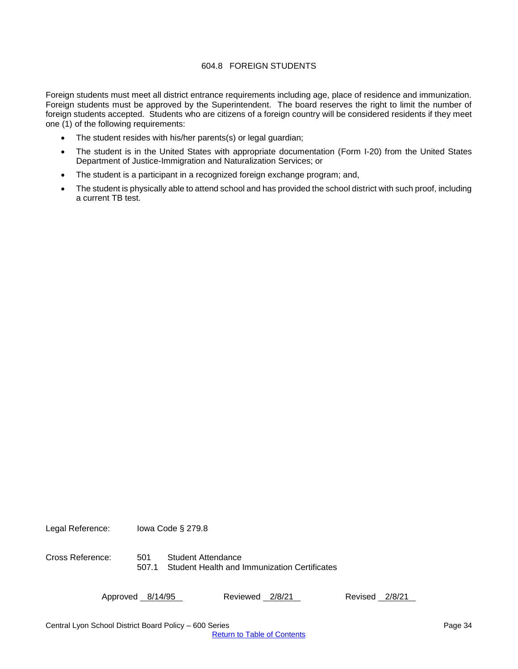## 604.8 FOREIGN STUDENTS

<span id="page-33-0"></span>Foreign students must meet all district entrance requirements including age, place of residence and immunization. Foreign students must be approved by the Superintendent. The board reserves the right to limit the number of foreign students accepted. Students who are citizens of a foreign country will be considered residents if they meet one (1) of the following requirements:

- The student resides with his/her parents(s) or legal guardian;
- The student is in the United States with appropriate documentation (Form I-20) from the United States Department of Justice-Immigration and Naturalization Services; or
- The student is a participant in a recognized foreign exchange program; and,
- The student is physically able to attend school and has provided the school district with such proof, including a current TB test.

Legal Reference: Iowa Code § 279.8

Cross Reference: 501 Student Attendance 507.1 Student Health and Immunization Certificates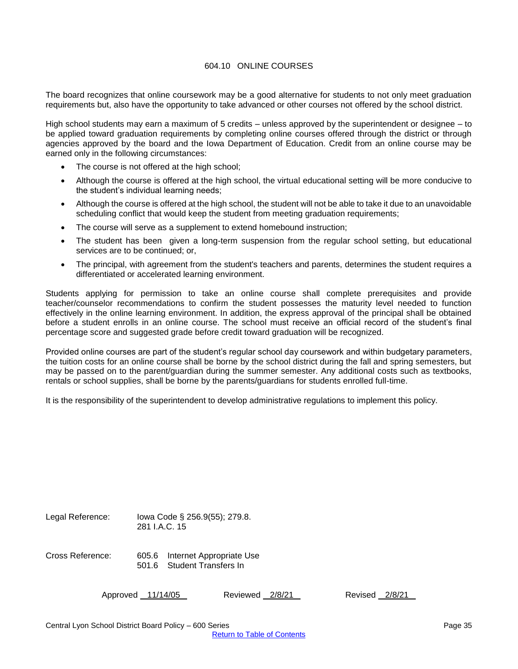## 604.10 ONLINE COURSES

<span id="page-34-0"></span>The board recognizes that online coursework may be a good alternative for students to not only meet graduation requirements but, also have the opportunity to take advanced or other courses not offered by the school district.

High school students may earn a maximum of 5 credits – unless approved by the superintendent or designee – to be applied toward graduation requirements by completing online courses offered through the district or through agencies approved by the board and the Iowa Department of Education. Credit from an online course may be earned only in the following circumstances:

- The course is not offered at the high school;
- Although the course is offered at the high school, the virtual educational setting will be more conducive to the student's individual learning needs;
- Although the course is offered at the high school, the student will not be able to take it due to an unavoidable scheduling conflict that would keep the student from meeting graduation requirements;
- The course will serve as a supplement to extend homebound instruction;
- The student has been given a long-term suspension from the regular school setting, but educational services are to be continued; or,
- The principal, with agreement from the student's teachers and parents, determines the student requires a differentiated or accelerated learning environment.

Students applying for permission to take an online course shall complete prerequisites and provide teacher/counselor recommendations to confirm the student possesses the maturity level needed to function effectively in the online learning environment. In addition, the express approval of the principal shall be obtained before a student enrolls in an online course. The school must receive an official record of the student's final percentage score and suggested grade before credit toward graduation will be recognized.

Provided online courses are part of the student's regular school day coursework and within budgetary parameters, the tuition costs for an online course shall be borne by the school district during the fall and spring semesters, but may be passed on to the parent/guardian during the summer semester. Any additional costs such as textbooks, rentals or school supplies, shall be borne by the parents/guardians for students enrolled full-time.

It is the responsibility of the superintendent to develop administrative regulations to implement this policy.

| Legal Reference: | lowa Code § 256.9(55); 279.8.<br>281 J.A.C. 15               |  |  |
|------------------|--------------------------------------------------------------|--|--|
| Cross Reference: | 605.6 Internet Appropriate Use<br>501.6 Student Transfers In |  |  |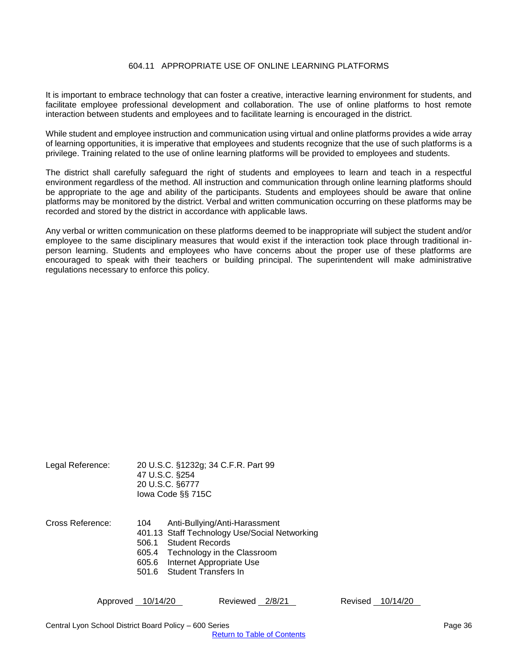## 604.11 APPROPRIATE USE OF ONLINE LEARNING PLATFORMS

<span id="page-35-0"></span>It is important to embrace technology that can foster a creative, interactive learning environment for students, and facilitate employee professional development and collaboration. The use of online platforms to host remote interaction between students and employees and to facilitate learning is encouraged in the district.

While student and employee instruction and communication using virtual and online platforms provides a wide array of learning opportunities, it is imperative that employees and students recognize that the use of such platforms is a privilege. Training related to the use of online learning platforms will be provided to employees and students.

The district shall carefully safeguard the right of students and employees to learn and teach in a respectful environment regardless of the method. All instruction and communication through online learning platforms should be appropriate to the age and ability of the participants. Students and employees should be aware that online platforms may be monitored by the district. Verbal and written communication occurring on these platforms may be recorded and stored by the district in accordance with applicable laws.

Any verbal or written communication on these platforms deemed to be inappropriate will subject the student and/or employee to the same disciplinary measures that would exist if the interaction took place through traditional inperson learning. Students and employees who have concerns about the proper use of these platforms are encouraged to speak with their teachers or building principal. The superintendent will make administrative regulations necessary to enforce this policy.

| 20 U.S.C. §1232g; 34 C.F.R. Part 99 |
|-------------------------------------|
|                                     |
|                                     |
|                                     |
|                                     |

- Cross Reference: 104 Anti-Bullying/Anti-Harassment
	- 401.13 Staff Technology Use/Social Networking
	- 506.1 Student Records
	- 605.4 Technology in the Classroom
	- 605.6 Internet Appropriate Use
	- 501.6 Student Transfers In

Approved 10/14/20 Reviewed 2/8/21 Revised 10/14/20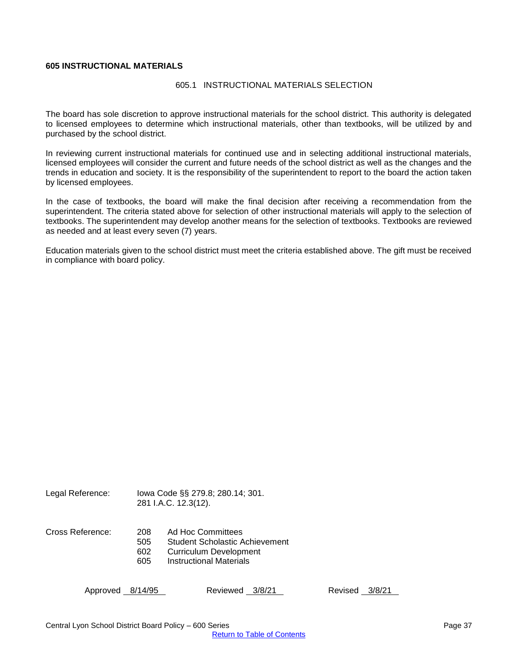## **605 INSTRUCTIONAL MATERIALS**

#### 605.1 INSTRUCTIONAL MATERIALS SELECTION

The board has sole discretion to approve instructional materials for the school district. This authority is delegated to licensed employees to determine which instructional materials, other than textbooks, will be utilized by and purchased by the school district.

In reviewing current instructional materials for continued use and in selecting additional instructional materials, licensed employees will consider the current and future needs of the school district as well as the changes and the trends in education and society. It is the responsibility of the superintendent to report to the board the action taken by licensed employees.

In the case of textbooks, the board will make the final decision after receiving a recommendation from the superintendent. The criteria stated above for selection of other instructional materials will apply to the selection of textbooks. The superintendent may develop another means for the selection of textbooks. Textbooks are reviewed as needed and at least every seven (7) years.

Education materials given to the school district must meet the criteria established above. The gift must be received in compliance with board policy.

| Legal Reference: | lowa Code §§ 279.8; 280.14; 301. |
|------------------|----------------------------------|
|                  |                                  |

281 I.A.C. 12.3(12).

| Cross Reference: | 208  | Ad Hoc Committees                     |
|------------------|------|---------------------------------------|
|                  | 505. | <b>Student Scholastic Achievement</b> |
|                  | 602  | Curriculum Development                |
|                  | 605  | Instructional Materials               |

Approved 8/14/95 Reviewed 3/8/21 Revised 3/8/21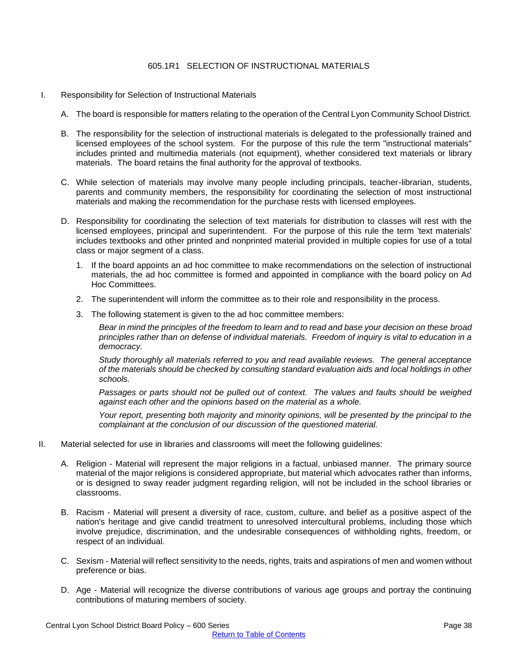# 605.1R1 SELECTION OF INSTRUCTIONAL MATERIALS

- I. Responsibility for Selection of Instructional Materials
	- A. The board is responsible for matters relating to the operation of the Central Lyon Community School District.
	- B. The responsibility for the selection of instructional materials is delegated to the professionally trained and licensed employees of the school system. For the purpose of this rule the term "instructional materials" includes printed and multimedia materials (not equipment), whether considered text materials or library materials. The board retains the final authority for the approval of textbooks.
	- C. While selection of materials may involve many people including principals, teacher-librarian, students, parents and community members, the responsibility for coordinating the selection of most instructional materials and making the recommendation for the purchase rests with licensed employees.
	- D. Responsibility for coordinating the selection of text materials for distribution to classes will rest with the licensed employees, principal and superintendent. For the purpose of this rule the term 'text materials' includes textbooks and other printed and nonprinted material provided in multiple copies for use of a total class or major segment of a class.
		- 1. If the board appoints an ad hoc committee to make recommendations on the selection of instructional materials, the ad hoc committee is formed and appointed in compliance with the board policy on Ad Hoc Committees.
		- 2. The superintendent will inform the committee as to their role and responsibility in the process.
		- 3. The following statement is given to the ad hoc committee members:

*Bear in mind the principles of the freedom to learn and to read and base your decision on these broad principles rather than on defense of individual materials. Freedom of inquiry is vital to education in a democracy.*

*Study thoroughly all materials referred to you and read available reviews. The general acceptance of the materials should be checked by consulting standard evaluation aids and local holdings in other schools.*

*Passages or parts should not be pulled out of context. The values and faults should be weighed against each other and the opinions based on the material as a whole.*

Your report, presenting both majority and minority opinions, will be presented by the principal to the *complainant at the conclusion of our discussion of the questioned material.*

- II. Material selected for use in libraries and classrooms will meet the following guidelines:
	- A. Religion Material will represent the major religions in a factual, unbiased manner. The primary source material of the major religions is considered appropriate, but material which advocates rather than informs, or is designed to sway reader judgment regarding religion, will not be included in the school libraries or classrooms.
	- B. Racism Material will present a diversity of race, custom, culture, and belief as a positive aspect of the nation's heritage and give candid treatment to unresolved intercultural problems, including those which involve prejudice, discrimination, and the undesirable consequences of withholding rights, freedom, or respect of an individual.
	- C. Sexism Material will reflect sensitivity to the needs, rights, traits and aspirations of men and women without preference or bias.
	- D. Age Material will recognize the diverse contributions of various age groups and portray the continuing contributions of maturing members of society.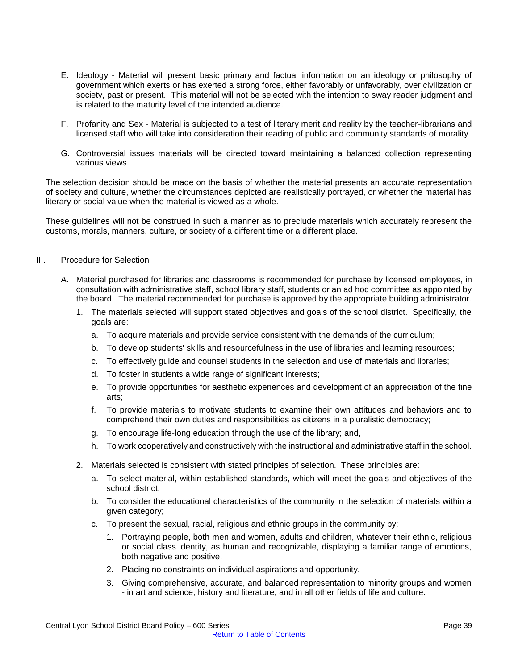- E. Ideology Material will present basic primary and factual information on an ideology or philosophy of government which exerts or has exerted a strong force, either favorably or unfavorably, over civilization or society, past or present. This material will not be selected with the intention to sway reader judgment and is related to the maturity level of the intended audience.
- F. Profanity and Sex Material is subjected to a test of literary merit and reality by the teacher-librarians and licensed staff who will take into consideration their reading of public and community standards of morality.
- G. Controversial issues materials will be directed toward maintaining a balanced collection representing various views.

The selection decision should be made on the basis of whether the material presents an accurate representation of society and culture, whether the circumstances depicted are realistically portrayed, or whether the material has literary or social value when the material is viewed as a whole.

These guidelines will not be construed in such a manner as to preclude materials which accurately represent the customs, morals, manners, culture, or society of a different time or a different place.

### III. Procedure for Selection

- A. Material purchased for libraries and classrooms is recommended for purchase by licensed employees, in consultation with administrative staff, school library staff, students or an ad hoc committee as appointed by the board. The material recommended for purchase is approved by the appropriate building administrator.
	- 1. The materials selected will support stated objectives and goals of the school district. Specifically, the goals are:
		- a. To acquire materials and provide service consistent with the demands of the curriculum;
		- b. To develop students' skills and resourcefulness in the use of libraries and learning resources;
		- c. To effectively guide and counsel students in the selection and use of materials and libraries;
		- d. To foster in students a wide range of significant interests;
		- e. To provide opportunities for aesthetic experiences and development of an appreciation of the fine arts;
		- f. To provide materials to motivate students to examine their own attitudes and behaviors and to comprehend their own duties and responsibilities as citizens in a pluralistic democracy;
		- g. To encourage life-long education through the use of the library; and,
		- h. To work cooperatively and constructively with the instructional and administrative staff in the school.
	- 2. Materials selected is consistent with stated principles of selection. These principles are:
		- a. To select material, within established standards, which will meet the goals and objectives of the school district;
		- b. To consider the educational characteristics of the community in the selection of materials within a given category;
		- c. To present the sexual, racial, religious and ethnic groups in the community by:
			- 1. Portraying people, both men and women, adults and children, whatever their ethnic, religious or social class identity, as human and recognizable, displaying a familiar range of emotions, both negative and positive.
			- 2. Placing no constraints on individual aspirations and opportunity.
			- 3. Giving comprehensive, accurate, and balanced representation to minority groups and women - in art and science, history and literature, and in all other fields of life and culture.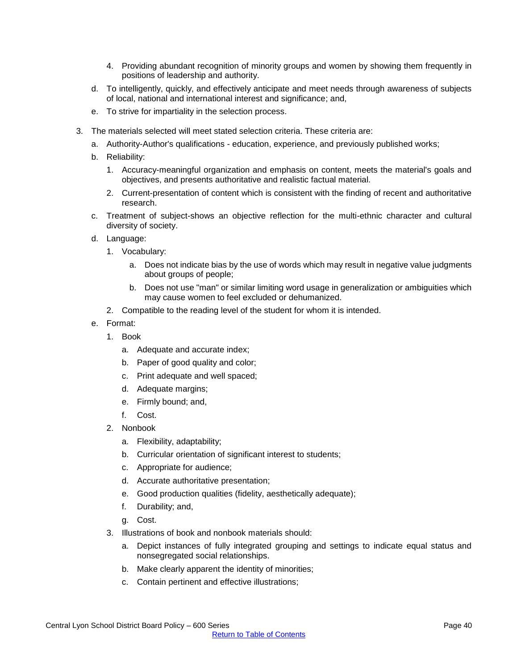- 4. Providing abundant recognition of minority groups and women by showing them frequently in positions of leadership and authority.
- d. To intelligently, quickly, and effectively anticipate and meet needs through awareness of subjects of local, national and international interest and significance; and,
- e. To strive for impartiality in the selection process.
- 3. The materials selected will meet stated selection criteria. These criteria are:
	- a. Authority-Author's qualifications education, experience, and previously published works;
	- b. Reliability:
		- 1. Accuracy-meaningful organization and emphasis on content, meets the material's goals and objectives, and presents authoritative and realistic factual material.
		- 2. Current-presentation of content which is consistent with the finding of recent and authoritative research.
	- c. Treatment of subject-shows an objective reflection for the multi-ethnic character and cultural diversity of society.
	- d. Language:
		- 1. Vocabulary:
			- a. Does not indicate bias by the use of words which may result in negative value judgments about groups of people;
			- b. Does not use "man" or similar limiting word usage in generalization or ambiguities which may cause women to feel excluded or dehumanized.
		- 2. Compatible to the reading level of the student for whom it is intended.
	- e. Format:
		- 1. Book
			- a. Adequate and accurate index;
			- b. Paper of good quality and color;
			- c. Print adequate and well spaced;
			- d. Adequate margins;
			- e. Firmly bound; and,
			- f. Cost.
		- 2. Nonbook
			- a. Flexibility, adaptability;
			- b. Curricular orientation of significant interest to students;
			- c. Appropriate for audience;
			- d. Accurate authoritative presentation;
			- e. Good production qualities (fidelity, aesthetically adequate);
			- f. Durability; and,
			- g. Cost.
		- 3. Illustrations of book and nonbook materials should:
			- a. Depict instances of fully integrated grouping and settings to indicate equal status and nonsegregated social relationships.
			- b. Make clearly apparent the identity of minorities;
			- c. Contain pertinent and effective illustrations;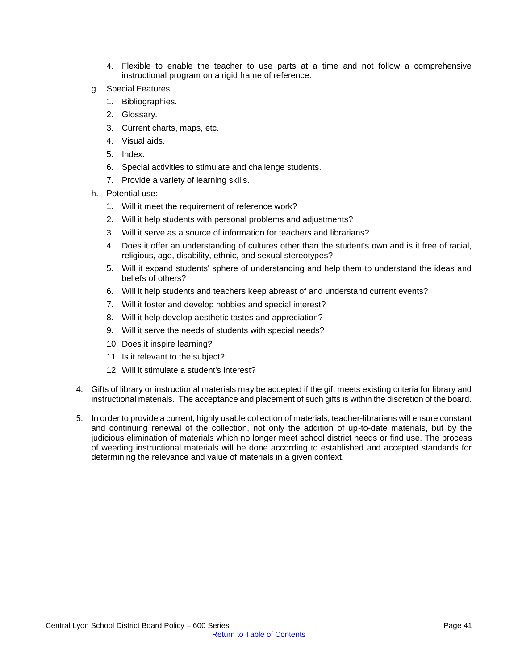- 4. Flexible to enable the teacher to use parts at a time and not follow a comprehensive instructional program on a rigid frame of reference.
- g. Special Features:
	- 1. Bibliographies.
	- 2. Glossary.
	- 3. Current charts, maps, etc.
	- 4. Visual aids.
	- 5. Index.
	- 6. Special activities to stimulate and challenge students.
	- 7. Provide a variety of learning skills.
- h. Potential use:
	- 1. Will it meet the requirement of reference work?
	- 2. Will it help students with personal problems and adjustments?
	- 3. Will it serve as a source of information for teachers and librarians?
	- 4. Does it offer an understanding of cultures other than the student's own and is it free of racial, religious, age, disability, ethnic, and sexual stereotypes?
	- 5. Will it expand students' sphere of understanding and help them to understand the ideas and beliefs of others?
	- 6. Will it help students and teachers keep abreast of and understand current events?
	- 7. Will it foster and develop hobbies and special interest?
	- 8. Will it help develop aesthetic tastes and appreciation?
	- 9. Will it serve the needs of students with special needs?
	- 10. Does it inspire learning?
	- 11. Is it relevant to the subject?
	- 12. Will it stimulate a student's interest?
- 4. Gifts of library or instructional materials may be accepted if the gift meets existing criteria for library and instructional materials. The acceptance and placement of such gifts is within the discretion of the board.
- 5. In order to provide a current, highly usable collection of materials, teacher-librarians will ensure constant and continuing renewal of the collection, not only the addition of up-to-date materials, but by the judicious elimination of materials which no longer meet school district needs or find use. The process of weeding instructional materials will be done according to established and accepted standards for determining the relevance and value of materials in a given context.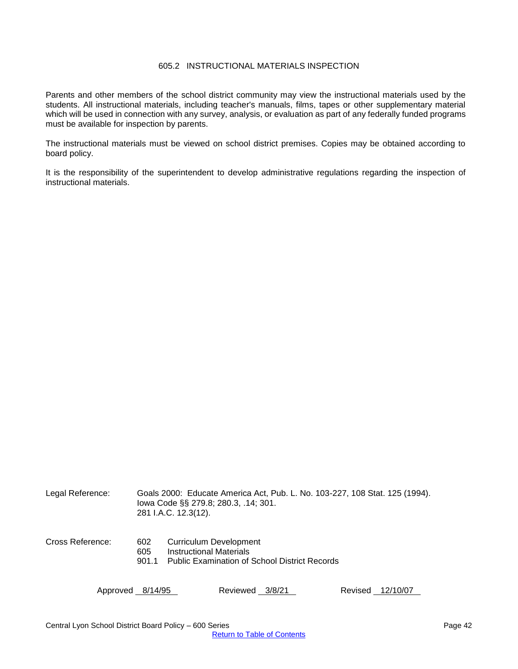# 605.2 INSTRUCTIONAL MATERIALS INSPECTION

Parents and other members of the school district community may view the instructional materials used by the students. All instructional materials, including teacher's manuals, films, tapes or other supplementary material which will be used in connection with any survey, analysis, or evaluation as part of any federally funded programs must be available for inspection by parents.

The instructional materials must be viewed on school district premises. Copies may be obtained according to board policy.

It is the responsibility of the superintendent to develop administrative regulations regarding the inspection of instructional materials.

| Legal Reference: |                     | Goals 2000: Educate America Act, Pub. L. No. 103-227, 108 Stat. 125 (1994).<br>lowa Code §§ 279.8; 280.3, .14; 301.<br>281 I.A.C. 12.3(12). |                     |
|------------------|---------------------|---------------------------------------------------------------------------------------------------------------------------------------------|---------------------|
| Cross Reference: | 602<br>605<br>901.1 | Curriculum Development<br><b>Instructional Materials</b><br><b>Public Examination of School District Records</b>                            |                     |
| Approved 8/14/95 |                     | Reviewed 3/8/21                                                                                                                             | Revised<br>12/10/07 |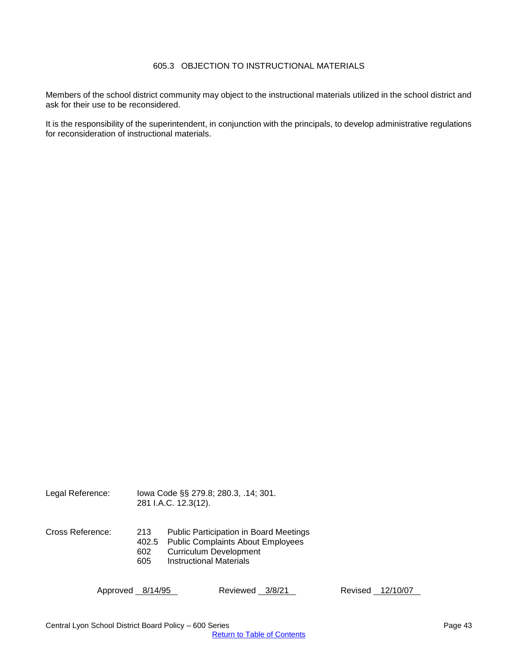# 605.3 OBJECTION TO INSTRUCTIONAL MATERIALS

Members of the school district community may object to the instructional materials utilized in the school district and ask for their use to be reconsidered.

It is the responsibility of the superintendent, in conjunction with the principals, to develop administrative regulations for reconsideration of instructional materials.

| Legal Reference: |                            | lowa Code §§ 279.8; 280.3, .14; 301.<br>281 I.A.C. 12.3(12).                                                                                                 |
|------------------|----------------------------|--------------------------------------------------------------------------------------------------------------------------------------------------------------|
| Cross Reference: | 213<br>402.5<br>602<br>605 | <b>Public Participation in Board Meetings</b><br><b>Public Complaints About Employees</b><br><b>Curriculum Development</b><br><b>Instructional Materials</b> |

Approved 8/14/95 Reviewed 3/8/21 Revised 12/10/07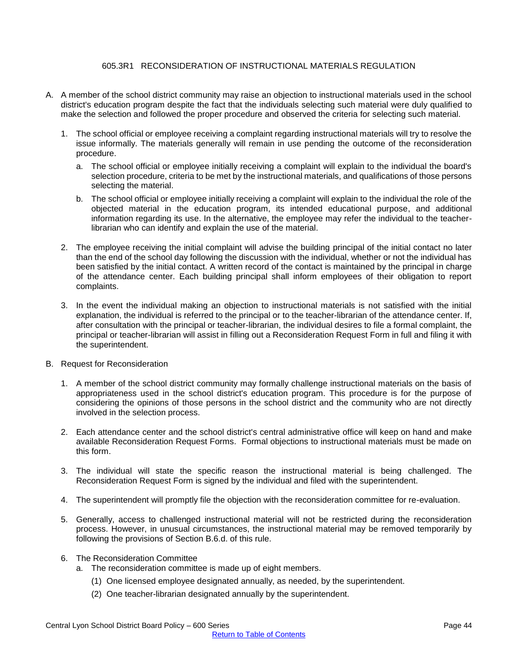# 605.3R1 RECONSIDERATION OF INSTRUCTIONAL MATERIALS REGULATION

- A. A member of the school district community may raise an objection to instructional materials used in the school district's education program despite the fact that the individuals selecting such material were duly qualified to make the selection and followed the proper procedure and observed the criteria for selecting such material.
	- 1. The school official or employee receiving a complaint regarding instructional materials will try to resolve the issue informally. The materials generally will remain in use pending the outcome of the reconsideration procedure.
		- a. The school official or employee initially receiving a complaint will explain to the individual the board's selection procedure, criteria to be met by the instructional materials, and qualifications of those persons selecting the material.
		- b. The school official or employee initially receiving a complaint will explain to the individual the role of the objected material in the education program, its intended educational purpose, and additional information regarding its use. In the alternative, the employee may refer the individual to the teacherlibrarian who can identify and explain the use of the material.
	- 2. The employee receiving the initial complaint will advise the building principal of the initial contact no later than the end of the school day following the discussion with the individual, whether or not the individual has been satisfied by the initial contact. A written record of the contact is maintained by the principal in charge of the attendance center. Each building principal shall inform employees of their obligation to report complaints.
	- 3. In the event the individual making an objection to instructional materials is not satisfied with the initial explanation, the individual is referred to the principal or to the teacher-librarian of the attendance center. If, after consultation with the principal or teacher-librarian, the individual desires to file a formal complaint, the principal or teacher-librarian will assist in filling out a Reconsideration Request Form in full and filing it with the superintendent.
- B. Request for Reconsideration
	- 1. A member of the school district community may formally challenge instructional materials on the basis of appropriateness used in the school district's education program. This procedure is for the purpose of considering the opinions of those persons in the school district and the community who are not directly involved in the selection process.
	- 2. Each attendance center and the school district's central administrative office will keep on hand and make available Reconsideration Request Forms. Formal objections to instructional materials must be made on this form.
	- 3. The individual will state the specific reason the instructional material is being challenged. The Reconsideration Request Form is signed by the individual and filed with the superintendent.
	- 4. The superintendent will promptly file the objection with the reconsideration committee for re-evaluation.
	- 5. Generally, access to challenged instructional material will not be restricted during the reconsideration process. However, in unusual circumstances, the instructional material may be removed temporarily by following the provisions of Section B.6.d. of this rule.
	- 6. The Reconsideration Committee
		- a. The reconsideration committee is made up of eight members.
			- (1) One licensed employee designated annually, as needed, by the superintendent.
			- (2) One teacher-librarian designated annually by the superintendent.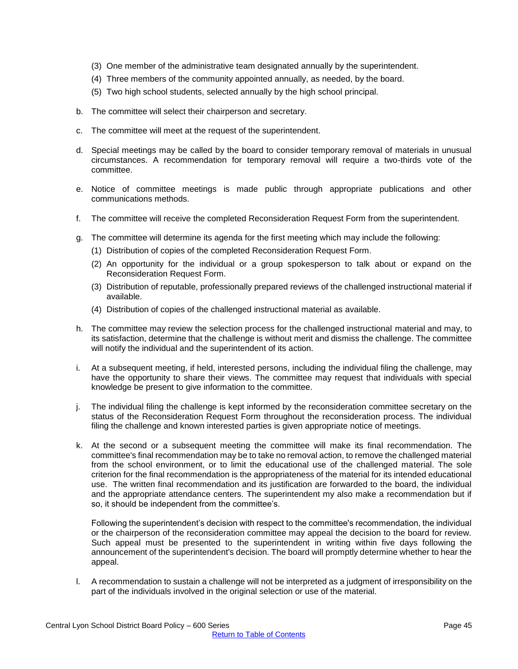- (3) One member of the administrative team designated annually by the superintendent.
- (4) Three members of the community appointed annually, as needed, by the board.
- (5) Two high school students, selected annually by the high school principal.
- b. The committee will select their chairperson and secretary.
- c. The committee will meet at the request of the superintendent.
- d. Special meetings may be called by the board to consider temporary removal of materials in unusual circumstances. A recommendation for temporary removal will require a two-thirds vote of the committee.
- e. Notice of committee meetings is made public through appropriate publications and other communications methods.
- f. The committee will receive the completed Reconsideration Request Form from the superintendent.
- g. The committee will determine its agenda for the first meeting which may include the following:
	- (1) Distribution of copies of the completed Reconsideration Request Form.
	- (2) An opportunity for the individual or a group spokesperson to talk about or expand on the Reconsideration Request Form.
	- (3) Distribution of reputable, professionally prepared reviews of the challenged instructional material if available.
	- (4) Distribution of copies of the challenged instructional material as available.
- h. The committee may review the selection process for the challenged instructional material and may, to its satisfaction, determine that the challenge is without merit and dismiss the challenge. The committee will notify the individual and the superintendent of its action.
- i. At a subsequent meeting, if held, interested persons, including the individual filing the challenge, may have the opportunity to share their views. The committee may request that individuals with special knowledge be present to give information to the committee.
- j. The individual filing the challenge is kept informed by the reconsideration committee secretary on the status of the Reconsideration Request Form throughout the reconsideration process. The individual filing the challenge and known interested parties is given appropriate notice of meetings.
- k. At the second or a subsequent meeting the committee will make its final recommendation. The committee's final recommendation may be to take no removal action, to remove the challenged material from the school environment, or to limit the educational use of the challenged material. The sole criterion for the final recommendation is the appropriateness of the material for its intended educational use. The written final recommendation and its justification are forwarded to the board, the individual and the appropriate attendance centers. The superintendent my also make a recommendation but if so, it should be independent from the committee's.

Following the superintendent's decision with respect to the committee's recommendation, the individual or the chairperson of the reconsideration committee may appeal the decision to the board for review. Such appeal must be presented to the superintendent in writing within five days following the announcement of the superintendent's decision. The board will promptly determine whether to hear the appeal.

l. A recommendation to sustain a challenge will not be interpreted as a judgment of irresponsibility on the part of the individuals involved in the original selection or use of the material.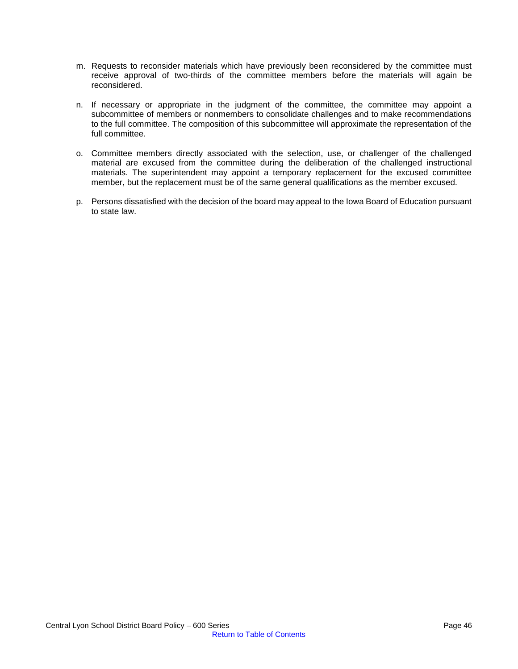- m. Requests to reconsider materials which have previously been reconsidered by the committee must receive approval of two-thirds of the committee members before the materials will again be reconsidered.
- n. If necessary or appropriate in the judgment of the committee, the committee may appoint a subcommittee of members or nonmembers to consolidate challenges and to make recommendations to the full committee. The composition of this subcommittee will approximate the representation of the full committee.
- o. Committee members directly associated with the selection, use, or challenger of the challenged material are excused from the committee during the deliberation of the challenged instructional materials. The superintendent may appoint a temporary replacement for the excused committee member, but the replacement must be of the same general qualifications as the member excused.
- p. Persons dissatisfied with the decision of the board may appeal to the Iowa Board of Education pursuant to state law.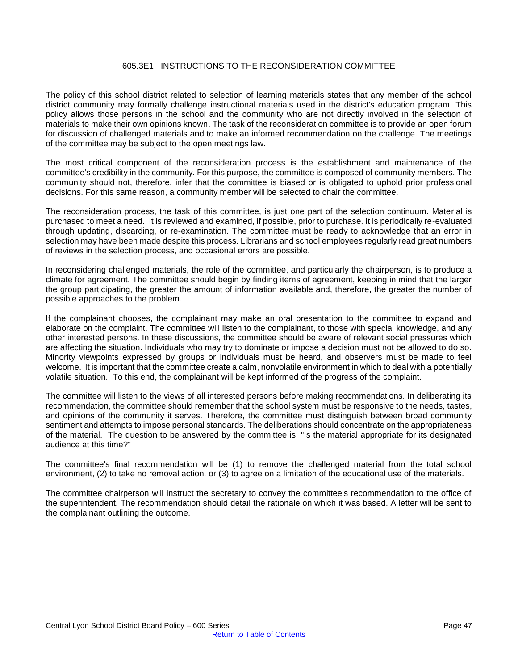## 605.3E1 INSTRUCTIONS TO THE RECONSIDERATION COMMITTEE

The policy of this school district related to selection of learning materials states that any member of the school district community may formally challenge instructional materials used in the district's education program. This policy allows those persons in the school and the community who are not directly involved in the selection of materials to make their own opinions known. The task of the reconsideration committee is to provide an open forum for discussion of challenged materials and to make an informed recommendation on the challenge. The meetings of the committee may be subject to the open meetings law.

The most critical component of the reconsideration process is the establishment and maintenance of the committee's credibility in the community. For this purpose, the committee is composed of community members. The community should not, therefore, infer that the committee is biased or is obligated to uphold prior professional decisions. For this same reason, a community member will be selected to chair the committee.

The reconsideration process, the task of this committee, is just one part of the selection continuum. Material is purchased to meet a need. It is reviewed and examined, if possible, prior to purchase. It is periodically re-evaluated through updating, discarding, or re-examination. The committee must be ready to acknowledge that an error in selection may have been made despite this process. Librarians and school employees regularly read great numbers of reviews in the selection process, and occasional errors are possible.

In reconsidering challenged materials, the role of the committee, and particularly the chairperson, is to produce a climate for agreement. The committee should begin by finding items of agreement, keeping in mind that the larger the group participating, the greater the amount of information available and, therefore, the greater the number of possible approaches to the problem.

If the complainant chooses, the complainant may make an oral presentation to the committee to expand and elaborate on the complaint. The committee will listen to the complainant, to those with special knowledge, and any other interested persons. In these discussions, the committee should be aware of relevant social pressures which are affecting the situation. Individuals who may try to dominate or impose a decision must not be allowed to do so. Minority viewpoints expressed by groups or individuals must be heard, and observers must be made to feel welcome. It is important that the committee create a calm, nonvolatile environment in which to deal with a potentially volatile situation. To this end, the complainant will be kept informed of the progress of the complaint.

The committee will listen to the views of all interested persons before making recommendations. In deliberating its recommendation, the committee should remember that the school system must be responsive to the needs, tastes, and opinions of the community it serves. Therefore, the committee must distinguish between broad community sentiment and attempts to impose personal standards. The deliberations should concentrate on the appropriateness of the material. The question to be answered by the committee is, "Is the material appropriate for its designated audience at this time?"

The committee's final recommendation will be (1) to remove the challenged material from the total school environment, (2) to take no removal action, or (3) to agree on a limitation of the educational use of the materials.

The committee chairperson will instruct the secretary to convey the committee's recommendation to the office of the superintendent. The recommendation should detail the rationale on which it was based. A letter will be sent to the complainant outlining the outcome.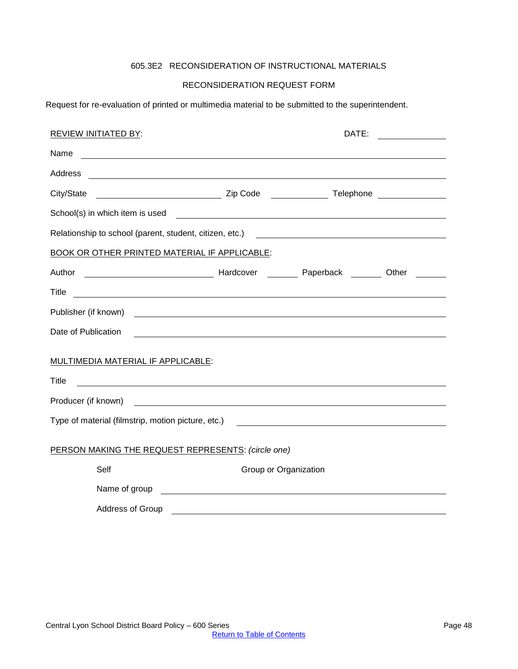# 605.3E2 RECONSIDERATION OF INSTRUCTIONAL MATERIALS

# RECONSIDERATION REQUEST FORM

Request for re-evaluation of printed or multimedia material to be submitted to the superintendent.

| <b>REVIEW INITIATED BY:</b>                                                                                                     | DATE:                                                                                                             |
|---------------------------------------------------------------------------------------------------------------------------------|-------------------------------------------------------------------------------------------------------------------|
| Name                                                                                                                            |                                                                                                                   |
| Address<br><u> 1989 - Johann Barbara, martin amerikan basal dan berasal dan berasal dalam basal dan berasal dan berasal dan</u> |                                                                                                                   |
| City/State                                                                                                                      |                                                                                                                   |
|                                                                                                                                 |                                                                                                                   |
|                                                                                                                                 | Relationship to school (parent, student, citizen, etc.) [2001] [2012] [2012] [2012] [2012] [2012] [2012] [2012] [ |
| BOOK OR OTHER PRINTED MATERIAL IF APPLICABLE:                                                                                   |                                                                                                                   |
| Author                                                                                                                          | Land Contract Paperback Contract Contract Contract Contract Contract Contract Contract Contract Contract Contr    |
| Title                                                                                                                           |                                                                                                                   |
|                                                                                                                                 |                                                                                                                   |
| Date of Publication                                                                                                             | ,我们也不会有一个人的人,我们也不会有一个人的人,我们也不会有一个人的人。""我们,我们也不会有一个人的人,我们也不会有一个人的人。""我们,我们也不会有一个人                                  |
| MULTIMEDIA MATERIAL IF APPLICABLE:                                                                                              |                                                                                                                   |
| <b>Title</b>                                                                                                                    |                                                                                                                   |
|                                                                                                                                 |                                                                                                                   |
|                                                                                                                                 | Type of material (filmstrip, motion picture, etc.) [2001] [2012] [2012] [2012] [2012] [2012] [2012] [2012] [20    |
| PERSON MAKING THE REQUEST REPRESENTS: (circle one)                                                                              |                                                                                                                   |
| Self                                                                                                                            | Group or Organization                                                                                             |
| Name of group                                                                                                                   |                                                                                                                   |
| <b>Address of Group</b>                                                                                                         |                                                                                                                   |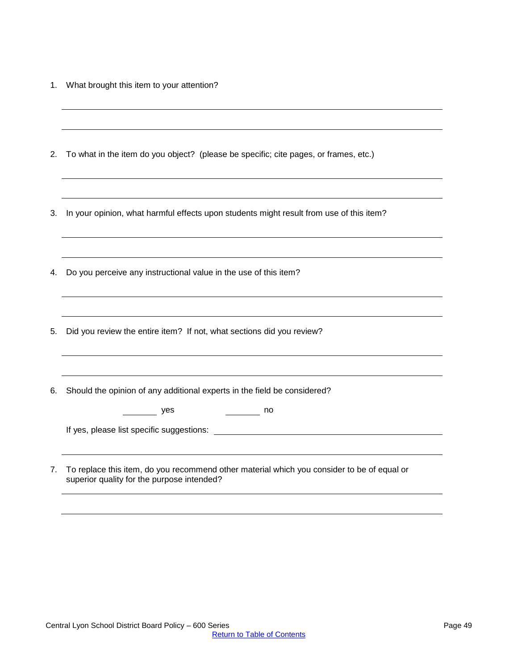1. What brought this item to your attention?

| 2. | To what in the item do you object? (please be specific; cite pages, or frames, etc.)                                                                                                                                           |
|----|--------------------------------------------------------------------------------------------------------------------------------------------------------------------------------------------------------------------------------|
|    |                                                                                                                                                                                                                                |
| 3. | In your opinion, what harmful effects upon students might result from use of this item?                                                                                                                                        |
|    |                                                                                                                                                                                                                                |
| 4. | Do you perceive any instructional value in the use of this item?                                                                                                                                                               |
|    |                                                                                                                                                                                                                                |
| 5. | Did you review the entire item? If not, what sections did you review?                                                                                                                                                          |
|    |                                                                                                                                                                                                                                |
| 6. | Should the opinion of any additional experts in the field be considered?                                                                                                                                                       |
|    | $\frac{\ }{\ }$ yes<br>$\frac{1}{\sqrt{1-\frac{1}{2}}}\log n$                                                                                                                                                                  |
|    | If yes, please list specific suggestions: We are also as a set of the set of the set of the set of the set of the set of the set of the set of the set of the set of the set of the set of the set of the set of the set of th |
|    |                                                                                                                                                                                                                                |
| 7. | To replace this item, do you recommend other material which you consider to be of equal or<br>superior quality for the purpose intended?                                                                                       |
|    |                                                                                                                                                                                                                                |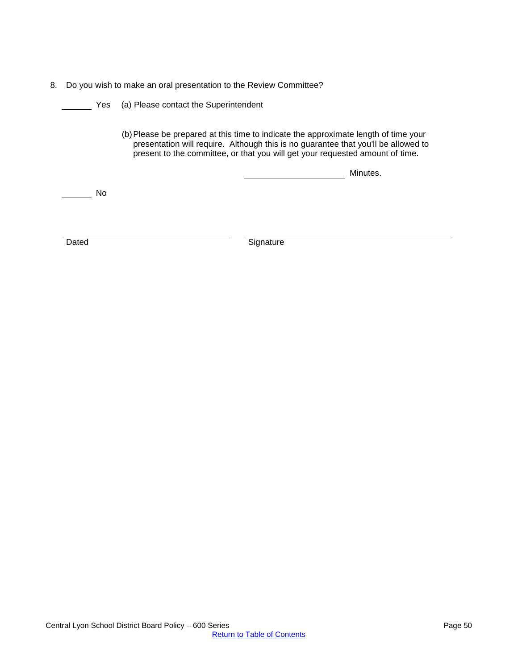8. Do you wish to make an oral presentation to the Review Committee?

Dated Signature Signature

Yes (a) Please contact the Superintendent (b)Please be prepared at this time to indicate the approximate length of time your presentation will require. Although this is no guarantee that you'll be allowed to present to the committee, or that you will get your requested amount of time. Minutes. No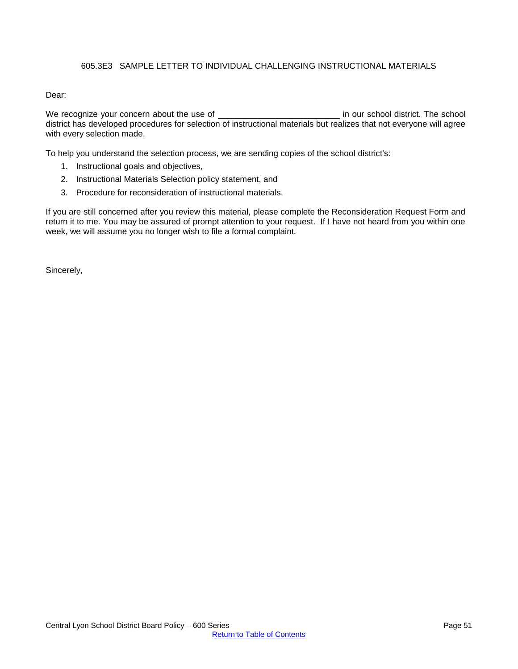## 605.3E3 SAMPLE LETTER TO INDIVIDUAL CHALLENGING INSTRUCTIONAL MATERIALS

### Dear:

We recognize your concern about the use of **in our school district.** The school district. The school district has developed procedures for selection of instructional materials but realizes that not everyone will agree with every selection made.

To help you understand the selection process, we are sending copies of the school district's:

- 1. Instructional goals and objectives,
- 2. Instructional Materials Selection policy statement, and
- 3. Procedure for reconsideration of instructional materials.

If you are still concerned after you review this material, please complete the Reconsideration Request Form and return it to me. You may be assured of prompt attention to your request. If I have not heard from you within one week, we will assume you no longer wish to file a formal complaint.

Sincerely,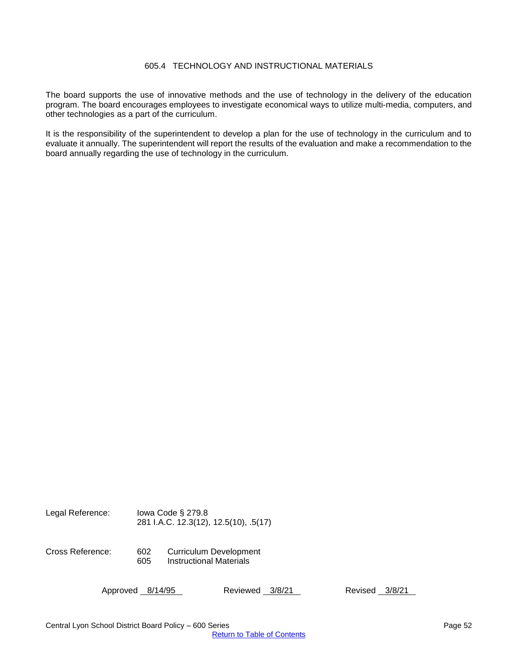## 605.4 TECHNOLOGY AND INSTRUCTIONAL MATERIALS

The board supports the use of innovative methods and the use of technology in the delivery of the education program. The board encourages employees to investigate economical ways to utilize multi-media, computers, and other technologies as a part of the curriculum.

It is the responsibility of the superintendent to develop a plan for the use of technology in the curriculum and to evaluate it annually. The superintendent will report the results of the evaluation and make a recommendation to the board annually regarding the use of technology in the curriculum.

Legal Reference: Iowa Code § 279.8 281 I.A.C. 12.3(12), 12.5(10), .5(17) Cross Reference: 602 Curriculum Development

605 Instructional Materials

Approved 8/14/95 Reviewed 3/8/21 Revised 3/8/21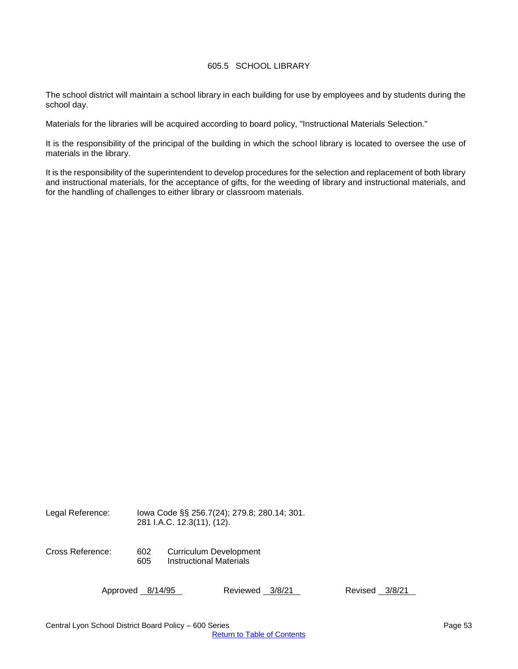### 605.5 SCHOOL LIBRARY

The school district will maintain a school library in each building for use by employees and by students during the school day.

Materials for the libraries will be acquired according to board policy, "Instructional Materials Selection."

It is the responsibility of the principal of the building in which the school library is located to oversee the use of materials in the library.

It is the responsibility of the superintendent to develop procedures for the selection and replacement of both library and instructional materials, for the acceptance of gifts, for the weeding of library and instructional materials, and for the handling of challenges to either library or classroom materials.

Legal Reference: Iowa Code §§ 256.7(24); 279.8; 280.14; 301. 281 I.A.C. 12.3(11), (12). Cross Reference: 602 Curriculum Development 605 Instructional Materials

Approved 8/14/95 Reviewed 3/8/21 Revised 3/8/21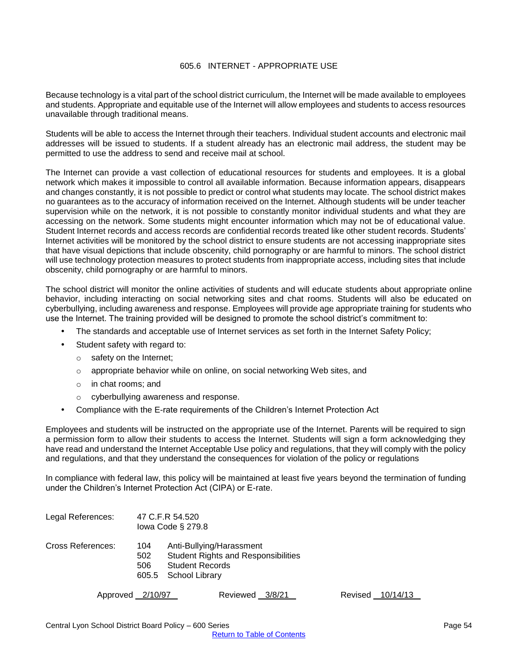## 605.6 INTERNET - APPROPRIATE USE

Because technology is a vital part of the school district curriculum, the Internet will be made available to employees and students. Appropriate and equitable use of the Internet will allow employees and students to access resources unavailable through traditional means.

Students will be able to access the Internet through their teachers. Individual student accounts and electronic mail addresses will be issued to students. If a student already has an electronic mail address, the student may be permitted to use the address to send and receive mail at school.

The Internet can provide a vast collection of educational resources for students and employees. It is a global network which makes it impossible to control all available information. Because information appears, disappears and changes constantly, it is not possible to predict or control what students may locate. The school district makes no guarantees as to the accuracy of information received on the Internet. Although students will be under teacher supervision while on the network, it is not possible to constantly monitor individual students and what they are accessing on the network. Some students might encounter information which may not be of educational value. Student Internet records and access records are confidential records treated like other student records. Students' Internet activities will be monitored by the school district to ensure students are not accessing inappropriate sites that have visual depictions that include obscenity, child pornography or are harmful to minors. The school district will use technology protection measures to protect students from inappropriate access, including sites that include obscenity, child pornography or are harmful to minors.

The school district will monitor the online activities of students and will educate students about appropriate online behavior, including interacting on social networking sites and chat rooms. Students will also be educated on cyberbullying, including awareness and response. Employees will provide age appropriate training for students who use the Internet. The training provided will be designed to promote the school district's commitment to:

- The standards and acceptable use of Internet services as set forth in the Internet Safety Policy;
- Student safety with regard to:
	- o safety on the Internet;
	- o appropriate behavior while on online, on social networking Web sites, and
	- o in chat rooms; and
	- o cyberbullying awareness and response.
- Compliance with the E-rate requirements of the Children's Internet Protection Act

Employees and students will be instructed on the appropriate use of the Internet. Parents will be required to sign a permission form to allow their students to access the Internet. Students will sign a form acknowledging they have read and understand the Internet Acceptable Use policy and regulations, that they will comply with the policy and regulations, and that they understand the consequences for violation of the policy or regulations

In compliance with federal law, this policy will be maintained at least five years beyond the termination of funding under the Children's Internet Protection Act (CIPA) or E-rate.

| Legal References: |                            | 47 C.F.R 54.520<br>lowa Code $\S$ 279.8  |                                                                        |         |          |
|-------------------|----------------------------|------------------------------------------|------------------------------------------------------------------------|---------|----------|
| Cross References: | 104<br>502<br>506<br>605.5 | <b>Student Records</b><br>School Library | Anti-Bullying/Harassment<br><b>Student Rights and Responsibilities</b> |         |          |
| Approved 2/10/97  |                            |                                          | Reviewed<br>3/8/21                                                     | Revised | 10/14/13 |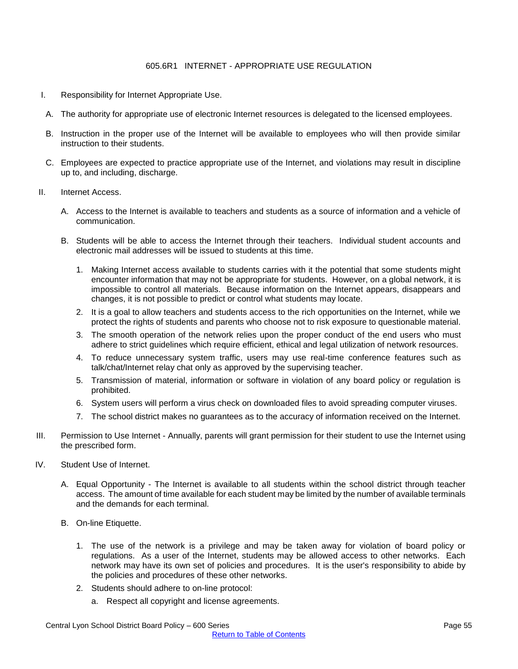### 605.6R1 INTERNET - APPROPRIATE USE REGULATION

- I. Responsibility for Internet Appropriate Use.
- A. The authority for appropriate use of electronic Internet resources is delegated to the licensed employees.
- B. Instruction in the proper use of the Internet will be available to employees who will then provide similar instruction to their students.
- C. Employees are expected to practice appropriate use of the Internet, and violations may result in discipline up to, and including, discharge.
- II. Internet Access.
	- A. Access to the Internet is available to teachers and students as a source of information and a vehicle of communication.
	- B. Students will be able to access the Internet through their teachers. Individual student accounts and electronic mail addresses will be issued to students at this time.
		- 1. Making Internet access available to students carries with it the potential that some students might encounter information that may not be appropriate for students. However, on a global network, it is impossible to control all materials. Because information on the Internet appears, disappears and changes, it is not possible to predict or control what students may locate.
		- 2. It is a goal to allow teachers and students access to the rich opportunities on the Internet, while we protect the rights of students and parents who choose not to risk exposure to questionable material.
		- 3. The smooth operation of the network relies upon the proper conduct of the end users who must adhere to strict guidelines which require efficient, ethical and legal utilization of network resources.
		- 4. To reduce unnecessary system traffic, users may use real-time conference features such as talk/chat/Internet relay chat only as approved by the supervising teacher.
		- 5. Transmission of material, information or software in violation of any board policy or regulation is prohibited.
		- 6. System users will perform a virus check on downloaded files to avoid spreading computer viruses.
		- 7. The school district makes no guarantees as to the accuracy of information received on the Internet.
- III. Permission to Use Internet Annually, parents will grant permission for their student to use the Internet using the prescribed form.
- IV. Student Use of Internet.
	- A. Equal Opportunity The Internet is available to all students within the school district through teacher access. The amount of time available for each student may be limited by the number of available terminals and the demands for each terminal.
	- B. On-line Etiquette.
		- 1. The use of the network is a privilege and may be taken away for violation of board policy or regulations. As a user of the Internet, students may be allowed access to other networks. Each network may have its own set of policies and procedures. It is the user's responsibility to abide by the policies and procedures of these other networks.
		- 2. Students should adhere to on-line protocol:
			- a. Respect all copyright and license agreements.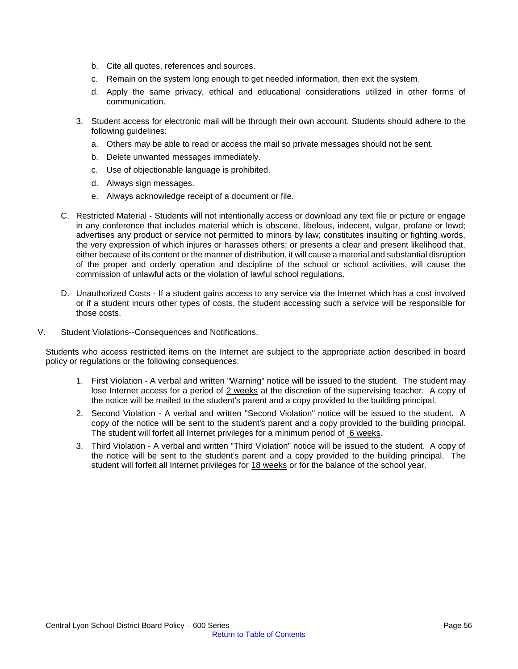- b. Cite all quotes, references and sources.
- c. Remain on the system long enough to get needed information, then exit the system.
- d. Apply the same privacy, ethical and educational considerations utilized in other forms of communication.
- 3. Student access for electronic mail will be through their own account. Students should adhere to the following guidelines:
	- a. Others may be able to read or access the mail so private messages should not be sent.
	- b. Delete unwanted messages immediately.
	- c. Use of objectionable language is prohibited.
	- d. Always sign messages.
	- e. Always acknowledge receipt of a document or file.
- C. Restricted Material Students will not intentionally access or download any text file or picture or engage in any conference that includes material which is obscene, libelous, indecent, vulgar, profane or lewd; advertises any product or service not permitted to minors by law; constitutes insulting or fighting words, the very expression of which injures or harasses others; or presents a clear and present likelihood that, either because of its content or the manner of distribution, it will cause a material and substantial disruption of the proper and orderly operation and discipline of the school or school activities, will cause the commission of unlawful acts or the violation of lawful school regulations.
- D. Unauthorized Costs If a student gains access to any service via the Internet which has a cost involved or if a student incurs other types of costs, the student accessing such a service will be responsible for those costs.
- V. Student Violations--Consequences and Notifications.

Students who access restricted items on the Internet are subject to the appropriate action described in board policy or regulations or the following consequences:

- 1. First Violation A verbal and written "Warning" notice will be issued to the student. The student may lose Internet access for a period of 2 weeks at the discretion of the supervising teacher. A copy of the notice will be mailed to the student's parent and a copy provided to the building principal.
- 2. Second Violation A verbal and written "Second Violation" notice will be issued to the student. A copy of the notice will be sent to the student's parent and a copy provided to the building principal. The student will forfeit all Internet privileges for a minimum period of 6 weeks.
- 3. Third Violation A verbal and written "Third Violation" notice will be issued to the student. A copy of the notice will be sent to the student's parent and a copy provided to the building principal. The student will forfeit all Internet privileges for 18 weeks or for the balance of the school year.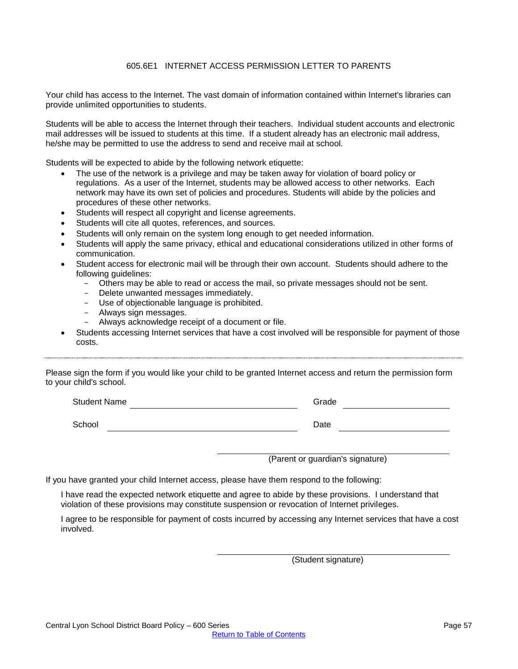# 605.6E1 INTERNET ACCESS PERMISSION LETTER TO PARENTS

Your child has access to the Internet. The vast domain of information contained within Internet's libraries can provide unlimited opportunities to students.

Students will be able to access the Internet through their teachers. Individual student accounts and electronic mail addresses will be issued to students at this time. If a student already has an electronic mail address, he/she may be permitted to use the address to send and receive mail at school.

Students will be expected to abide by the following network etiquette:

- The use of the network is a privilege and may be taken away for violation of board policy or regulations. As a user of the Internet, students may be allowed access to other networks. Each network may have its own set of policies and procedures. Students will abide by the policies and procedures of these other networks.
- Students will respect all copyright and license agreements.
- Students will cite all quotes, references, and sources.
- Students will only remain on the system long enough to get needed information.
- Students will apply the same privacy, ethical and educational considerations utilized in other forms of communication.
- Student access for electronic mail will be through their own account. Students should adhere to the following guidelines:
	- Others may be able to read or access the mail, so private messages should not be sent.
	- Delete unwanted messages immediately.
	- Use of objectionable language is prohibited.
	- Always sign messages.
	- Always acknowledge receipt of a document or file.
- Students accessing Internet services that have a cost involved will be responsible for payment of those costs.

Please sign the form if you would like your child to be granted Internet access and return the permission form to your child's school.

Student Name Grade

School Date and the Contract of the Contract of the Contract of the Date Date

(Parent or guardian's signature)

If you have granted your child Internet access, please have them respond to the following:

I have read the expected network etiquette and agree to abide by these provisions. I understand that violation of these provisions may constitute suspension or revocation of Internet privileges.

I agree to be responsible for payment of costs incurred by accessing any Internet services that have a cost involved.

(Student signature)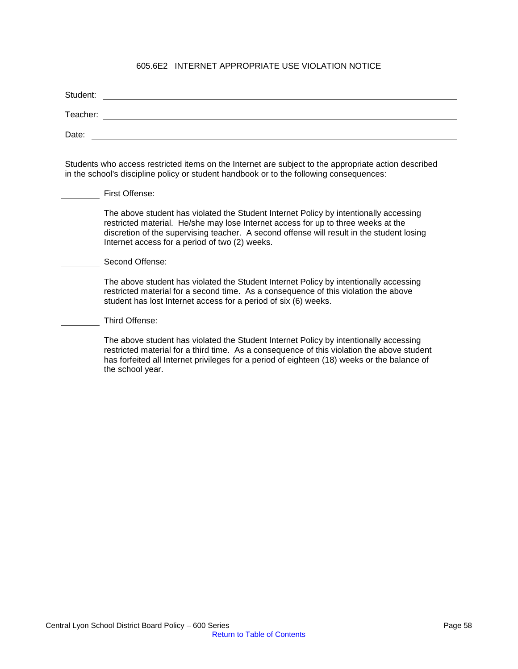## 605.6E2 INTERNET APPROPRIATE USE VIOLATION NOTICE

| Student: |  |
|----------|--|
| Teacher: |  |
| Date:    |  |

Students who access restricted items on the Internet are subject to the appropriate action described in the school's discipline policy or student handbook or to the following consequences:

First Offense:

The above student has violated the Student Internet Policy by intentionally accessing restricted material. He/she may lose Internet access for up to three weeks at the discretion of the supervising teacher. A second offense will result in the student losing Internet access for a period of two (2) weeks.

Second Offense:

The above student has violated the Student Internet Policy by intentionally accessing restricted material for a second time. As a consequence of this violation the above student has lost Internet access for a period of six (6) weeks.

Third Offense:

The above student has violated the Student Internet Policy by intentionally accessing restricted material for a third time. As a consequence of this violation the above student has forfeited all Internet privileges for a period of eighteen (18) weeks or the balance of the school year.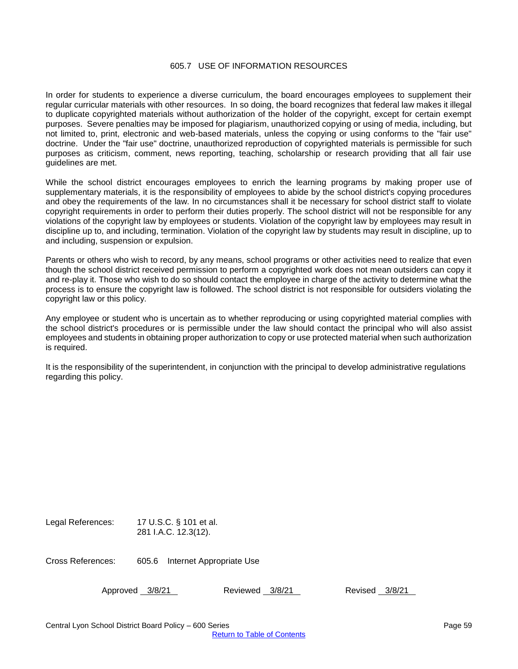## 605.7 USE OF INFORMATION RESOURCES

In order for students to experience a diverse curriculum, the board encourages employees to supplement their regular curricular materials with other resources. In so doing, the board recognizes that federal law makes it illegal to duplicate copyrighted materials without authorization of the holder of the copyright, except for certain exempt purposes. Severe penalties may be imposed for plagiarism, unauthorized copying or using of media, including, but not limited to, print, electronic and web-based materials, unless the copying or using conforms to the "fair use" doctrine. Under the "fair use" doctrine, unauthorized reproduction of copyrighted materials is permissible for such purposes as criticism, comment, news reporting, teaching, scholarship or research providing that all fair use guidelines are met.

While the school district encourages employees to enrich the learning programs by making proper use of supplementary materials, it is the responsibility of employees to abide by the school district's copying procedures and obey the requirements of the law. In no circumstances shall it be necessary for school district staff to violate copyright requirements in order to perform their duties properly. The school district will not be responsible for any violations of the copyright law by employees or students. Violation of the copyright law by employees may result in discipline up to, and including, termination. Violation of the copyright law by students may result in discipline, up to and including, suspension or expulsion.

Parents or others who wish to record, by any means, school programs or other activities need to realize that even though the school district received permission to perform a copyrighted work does not mean outsiders can copy it and re-play it. Those who wish to do so should contact the employee in charge of the activity to determine what the process is to ensure the copyright law is followed. The school district is not responsible for outsiders violating the copyright law or this policy.

Any employee or student who is uncertain as to whether reproducing or using copyrighted material complies with the school district's procedures or is permissible under the law should contact the principal who will also assist employees and students in obtaining proper authorization to copy or use protected material when such authorization is required.

It is the responsibility of the superintendent, in conjunction with the principal to develop administrative regulations regarding this policy.

Legal References: 17 U.S.C. § 101 et al. 281 I.A.C. 12.3(12).

Cross References: 605.6 Internet Appropriate Use

Approved 3/8/21 Reviewed 3/8/21 Revised 3/8/21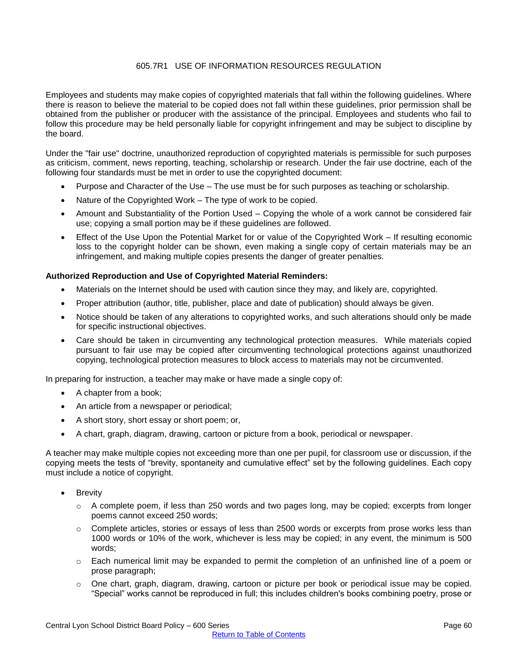# 605.7R1 USE OF INFORMATION RESOURCES REGULATION

Employees and students may make copies of copyrighted materials that fall within the following guidelines. Where there is reason to believe the material to be copied does not fall within these guidelines, prior permission shall be obtained from the publisher or producer with the assistance of the principal. Employees and students who fail to follow this procedure may be held personally liable for copyright infringement and may be subject to discipline by the board.

Under the "fair use" doctrine, unauthorized reproduction of copyrighted materials is permissible for such purposes as criticism, comment, news reporting, teaching, scholarship or research. Under the fair use doctrine, each of the following four standards must be met in order to use the copyrighted document:

- Purpose and Character of the Use The use must be for such purposes as teaching or scholarship.
- Nature of the Copyrighted Work The type of work to be copied.
- Amount and Substantiality of the Portion Used Copying the whole of a work cannot be considered fair use; copying a small portion may be if these guidelines are followed.
- Effect of the Use Upon the Potential Market for or value of the Copyrighted Work If resulting economic loss to the copyright holder can be shown, even making a single copy of certain materials may be an infringement, and making multiple copies presents the danger of greater penalties.

### **Authorized Reproduction and Use of Copyrighted Material Reminders:**

- Materials on the Internet should be used with caution since they may, and likely are, copyrighted.
- Proper attribution (author, title, publisher, place and date of publication) should always be given.
- Notice should be taken of any alterations to copyrighted works, and such alterations should only be made for specific instructional objectives.
- Care should be taken in circumventing any technological protection measures. While materials copied pursuant to fair use may be copied after circumventing technological protections against unauthorized copying, technological protection measures to block access to materials may not be circumvented.

In preparing for instruction, a teacher may make or have made a single copy of:

- A chapter from a book;
- An article from a newspaper or periodical;
- A short story, short essay or short poem; or,
- A chart, graph, diagram, drawing, cartoon or picture from a book, periodical or newspaper.

A teacher may make multiple copies not exceeding more than one per pupil, for classroom use or discussion, if the copying meets the tests of "brevity, spontaneity and cumulative effect" set by the following guidelines. Each copy must include a notice of copyright.

- **Brevity** 
	- $\circ$  A complete poem, if less than 250 words and two pages long, may be copied; excerpts from longer poems cannot exceed 250 words;
	- $\circ$  Complete articles, stories or essays of less than 2500 words or excerpts from prose works less than 1000 words or 10% of the work, whichever is less may be copied; in any event, the minimum is 500 words;
	- $\circ$  Each numerical limit may be expanded to permit the completion of an unfinished line of a poem or prose paragraph;
	- $\circ$  One chart, graph, diagram, drawing, cartoon or picture per book or periodical issue may be copied. "Special" works cannot be reproduced in full; this includes children's books combining poetry, prose or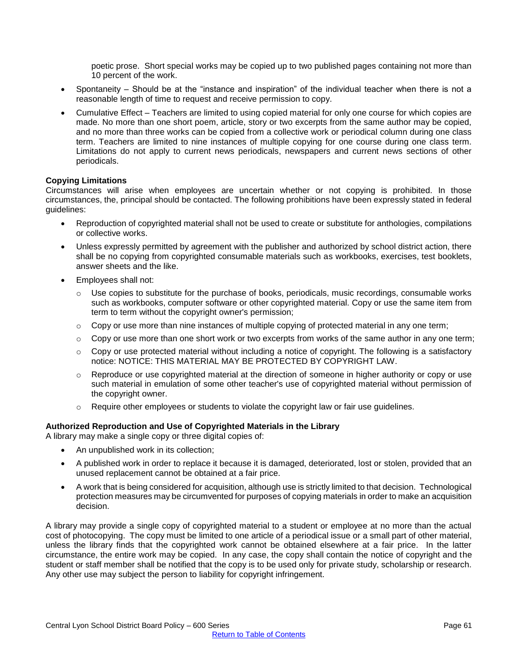poetic prose. Short special works may be copied up to two published pages containing not more than 10 percent of the work.

- Spontaneity Should be at the "instance and inspiration" of the individual teacher when there is not a reasonable length of time to request and receive permission to copy.
- Cumulative Effect Teachers are limited to using copied material for only one course for which copies are made. No more than one short poem, article, story or two excerpts from the same author may be copied, and no more than three works can be copied from a collective work or periodical column during one class term. Teachers are limited to nine instances of multiple copying for one course during one class term. Limitations do not apply to current news periodicals, newspapers and current news sections of other periodicals.

### **Copying Limitations**

Circumstances will arise when employees are uncertain whether or not copying is prohibited. In those circumstances, the, principal should be contacted. The following prohibitions have been expressly stated in federal guidelines:

- Reproduction of copyrighted material shall not be used to create or substitute for anthologies, compilations or collective works.
- Unless expressly permitted by agreement with the publisher and authorized by school district action, there shall be no copying from copyrighted consumable materials such as workbooks, exercises, test booklets, answer sheets and the like.
- Employees shall not:
	- o Use copies to substitute for the purchase of books, periodicals, music recordings, consumable works such as workbooks, computer software or other copyrighted material. Copy or use the same item from term to term without the copyright owner's permission;
	- $\circ$  Copy or use more than nine instances of multiple copying of protected material in any one term;
	- $\circ$  Copy or use more than one short work or two excerpts from works of the same author in any one term;
	- $\circ$  Copy or use protected material without including a notice of copyright. The following is a satisfactory notice: NOTICE: THIS MATERIAL MAY BE PROTECTED BY COPYRIGHT LAW.
	- $\circ$  Reproduce or use copyrighted material at the direction of someone in higher authority or copy or use such material in emulation of some other teacher's use of copyrighted material without permission of the copyright owner.
	- $\circ$  Require other employees or students to violate the copyright law or fair use guidelines.

### **Authorized Reproduction and Use of Copyrighted Materials in the Library**

A library may make a single copy or three digital copies of:

- An unpublished work in its collection;
- A published work in order to replace it because it is damaged, deteriorated, lost or stolen, provided that an unused replacement cannot be obtained at a fair price.
- A work that is being considered for acquisition, although use is strictly limited to that decision. Technological protection measures may be circumvented for purposes of copying materials in order to make an acquisition decision.

A library may provide a single copy of copyrighted material to a student or employee at no more than the actual cost of photocopying. The copy must be limited to one article of a periodical issue or a small part of other material, unless the library finds that the copyrighted work cannot be obtained elsewhere at a fair price. In the latter circumstance, the entire work may be copied. In any case, the copy shall contain the notice of copyright and the student or staff member shall be notified that the copy is to be used only for private study, scholarship or research. Any other use may subject the person to liability for copyright infringement.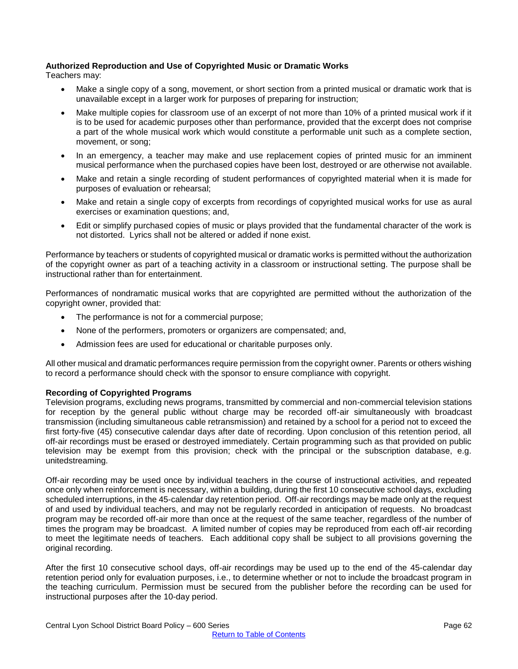# **Authorized Reproduction and Use of Copyrighted Music or Dramatic Works**

Teachers may:

- Make a single copy of a song, movement, or short section from a printed musical or dramatic work that is unavailable except in a larger work for purposes of preparing for instruction;
- Make multiple copies for classroom use of an excerpt of not more than 10% of a printed musical work if it is to be used for academic purposes other than performance, provided that the excerpt does not comprise a part of the whole musical work which would constitute a performable unit such as a complete section, movement, or song;
- In an emergency, a teacher may make and use replacement copies of printed music for an imminent musical performance when the purchased copies have been lost, destroyed or are otherwise not available.
- Make and retain a single recording of student performances of copyrighted material when it is made for purposes of evaluation or rehearsal;
- Make and retain a single copy of excerpts from recordings of copyrighted musical works for use as aural exercises or examination questions; and,
- Edit or simplify purchased copies of music or plays provided that the fundamental character of the work is not distorted. Lyrics shall not be altered or added if none exist.

Performance by teachers or students of copyrighted musical or dramatic works is permitted without the authorization of the copyright owner as part of a teaching activity in a classroom or instructional setting. The purpose shall be instructional rather than for entertainment.

Performances of nondramatic musical works that are copyrighted are permitted without the authorization of the copyright owner, provided that:

- The performance is not for a commercial purpose;
- None of the performers, promoters or organizers are compensated; and,
- Admission fees are used for educational or charitable purposes only.

All other musical and dramatic performances require permission from the copyright owner. Parents or others wishing to record a performance should check with the sponsor to ensure compliance with copyright.

### **Recording of Copyrighted Programs**

Television programs, excluding news programs, transmitted by commercial and non-commercial television stations for reception by the general public without charge may be recorded off-air simultaneously with broadcast transmission (including simultaneous cable retransmission) and retained by a school for a period not to exceed the first forty-five (45) consecutive calendar days after date of recording. Upon conclusion of this retention period, all off-air recordings must be erased or destroyed immediately. Certain programming such as that provided on public television may be exempt from this provision; check with the principal or the subscription database, e.g. unitedstreaming.

Off-air recording may be used once by individual teachers in the course of instructional activities, and repeated once only when reinforcement is necessary, within a building, during the first 10 consecutive school days, excluding scheduled interruptions, in the 45-calendar day retention period. Off-air recordings may be made only at the request of and used by individual teachers, and may not be regularly recorded in anticipation of requests. No broadcast program may be recorded off-air more than once at the request of the same teacher, regardless of the number of times the program may be broadcast. A limited number of copies may be reproduced from each off-air recording to meet the legitimate needs of teachers. Each additional copy shall be subject to all provisions governing the original recording.

After the first 10 consecutive school days, off-air recordings may be used up to the end of the 45-calendar day retention period only for evaluation purposes, i.e., to determine whether or not to include the broadcast program in the teaching curriculum. Permission must be secured from the publisher before the recording can be used for instructional purposes after the 10-day period.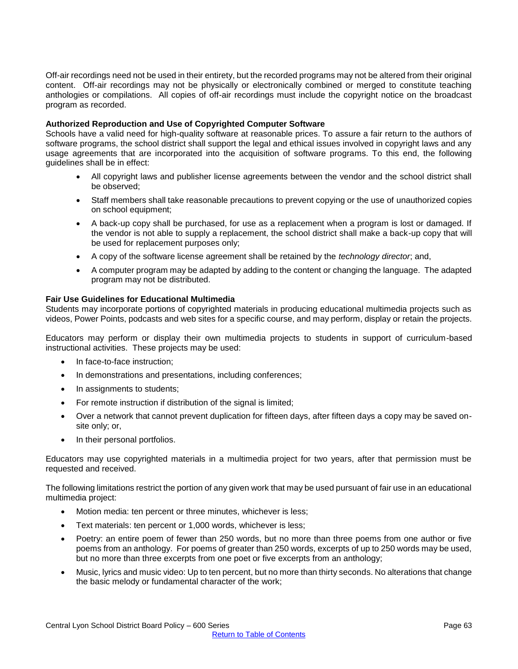Off-air recordings need not be used in their entirety, but the recorded programs may not be altered from their original content. Off-air recordings may not be physically or electronically combined or merged to constitute teaching anthologies or compilations. All copies of off-air recordings must include the copyright notice on the broadcast program as recorded.

### **Authorized Reproduction and Use of Copyrighted Computer Software**

Schools have a valid need for high-quality software at reasonable prices. To assure a fair return to the authors of software programs, the school district shall support the legal and ethical issues involved in copyright laws and any usage agreements that are incorporated into the acquisition of software programs. To this end, the following guidelines shall be in effect:

- All copyright laws and publisher license agreements between the vendor and the school district shall be observed;
- Staff members shall take reasonable precautions to prevent copying or the use of unauthorized copies on school equipment;
- A back-up copy shall be purchased, for use as a replacement when a program is lost or damaged. If the vendor is not able to supply a replacement, the school district shall make a back-up copy that will be used for replacement purposes only;
- A copy of the software license agreement shall be retained by the *technology director*; and,
- A computer program may be adapted by adding to the content or changing the language. The adapted program may not be distributed.

### **Fair Use Guidelines for Educational Multimedia**

Students may incorporate portions of copyrighted materials in producing educational multimedia projects such as videos, Power Points, podcasts and web sites for a specific course, and may perform, display or retain the projects.

Educators may perform or display their own multimedia projects to students in support of curriculum-based instructional activities. These projects may be used:

- In face-to-face instruction;
- In demonstrations and presentations, including conferences;
- In assignments to students;
- For remote instruction if distribution of the signal is limited;
- Over a network that cannot prevent duplication for fifteen days, after fifteen days a copy may be saved onsite only; or,
- In their personal portfolios.

Educators may use copyrighted materials in a multimedia project for two years, after that permission must be requested and received.

The following limitations restrict the portion of any given work that may be used pursuant of fair use in an educational multimedia project:

- Motion media: ten percent or three minutes, whichever is less;
- Text materials: ten percent or 1,000 words, whichever is less;
- Poetry: an entire poem of fewer than 250 words, but no more than three poems from one author or five poems from an anthology. For poems of greater than 250 words, excerpts of up to 250 words may be used, but no more than three excerpts from one poet or five excerpts from an anthology;
- Music, lyrics and music video: Up to ten percent, but no more than thirty seconds. No alterations that change the basic melody or fundamental character of the work;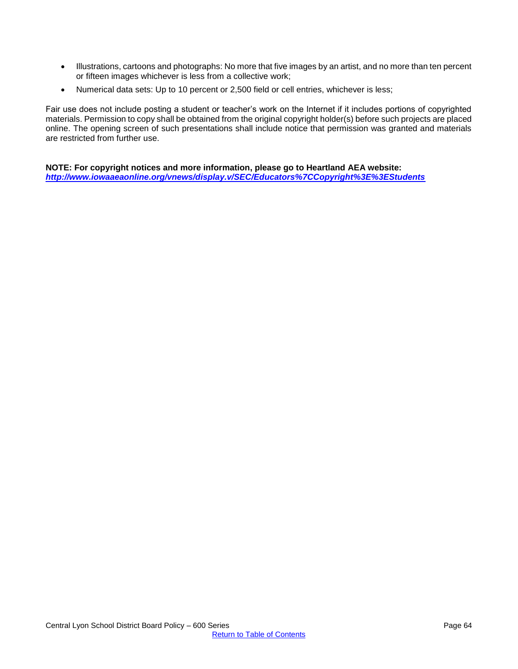- Illustrations, cartoons and photographs: No more that five images by an artist, and no more than ten percent or fifteen images whichever is less from a collective work;
- Numerical data sets: Up to 10 percent or 2,500 field or cell entries, whichever is less;

Fair use does not include posting a student or teacher's work on the Internet if it includes portions of copyrighted materials. Permission to copy shall be obtained from the original copyright holder(s) before such projects are placed online. The opening screen of such presentations shall include notice that permission was granted and materials are restricted from further use.

**NOTE: For copyright notices and more information, please go to Heartland AEA website:**  *<http://www.iowaaeaonline.org/vnews/display.v/SEC/Educators%7CCopyright%3E%3EStudents>*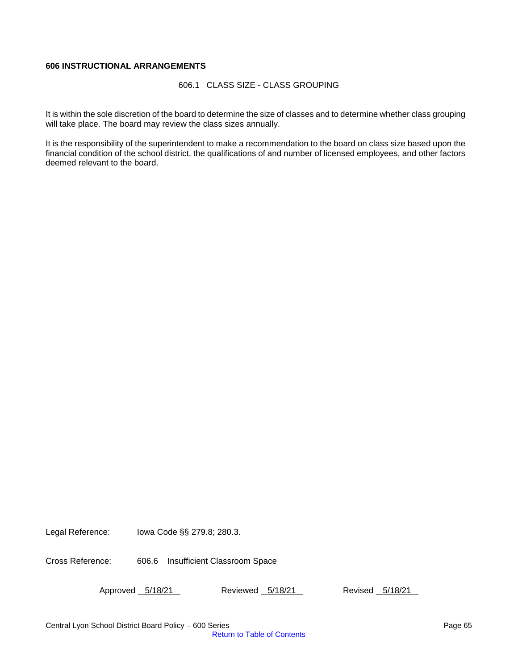# **606 INSTRUCTIONAL ARRANGEMENTS**

606.1 CLASS SIZE - CLASS GROUPING

It is within the sole discretion of the board to determine the size of classes and to determine whether class grouping will take place. The board may review the class sizes annually.

It is the responsibility of the superintendent to make a recommendation to the board on class size based upon the financial condition of the school district, the qualifications of and number of licensed employees, and other factors deemed relevant to the board.

Legal Reference: Iowa Code §§ 279.8; 280.3.

Cross Reference: 606.6 Insufficient Classroom Space

Approved 5/18/21 Reviewed 5/18/21 Revised 5/18/21

Central Lyon School District Board Policy – 600 Series Page 65

[Return to Table of Contents](#page-0-0)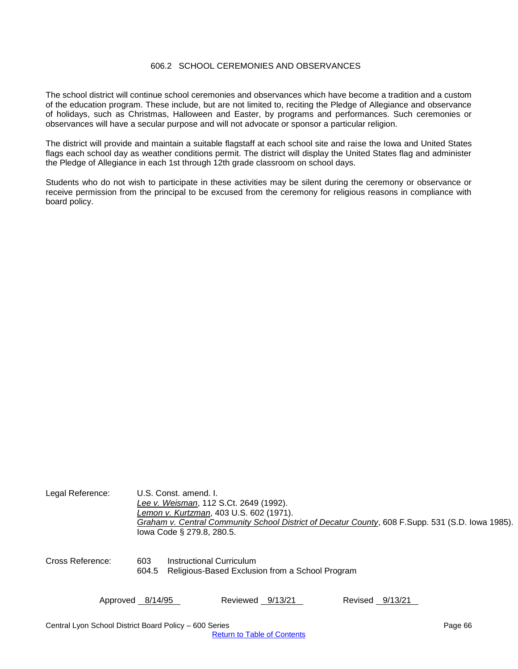## 606.2 SCHOOL CEREMONIES AND OBSERVANCES

The school district will continue school ceremonies and observances which have become a tradition and a custom of the education program. These include, but are not limited to, reciting the Pledge of Allegiance and observance of holidays, such as Christmas, Halloween and Easter, by programs and performances. Such ceremonies or observances will have a secular purpose and will not advocate or sponsor a particular religion.

The district will provide and maintain a suitable flagstaff at each school site and raise the Iowa and United States flags each school day as weather conditions permit. The district will display the United States flag and administer the Pledge of Allegiance in each 1st through 12th grade classroom on school days.

Students who do not wish to participate in these activities may be silent during the ceremony or observance or receive permission from the principal to be excused from the ceremony for religious reasons in compliance with board policy.

| Legal Reference: | U.S. Const. amend. I.<br>Lee v. Weisman, 112 S.Ct. 2649 (1992).<br>Lemon v. Kurtzman, 403 U.S. 602 (1971).<br>Graham v. Central Community School District of Decatur County, 608 F.Supp. 531 (S.D. lowa 1985).<br>lowa Code § 279.8, 280.5. |
|------------------|---------------------------------------------------------------------------------------------------------------------------------------------------------------------------------------------------------------------------------------------|
| Cross Reference: | <b>Instructional Curriculum</b><br>603<br>Religious-Based Exclusion from a School Program<br>604.5                                                                                                                                          |

| Approved 8/14/95 | Reviewed 9/13/21 | Revised 9/13/21 |  |
|------------------|------------------|-----------------|--|
|                  |                  |                 |  |

[Return to Table of Contents](#page-0-0)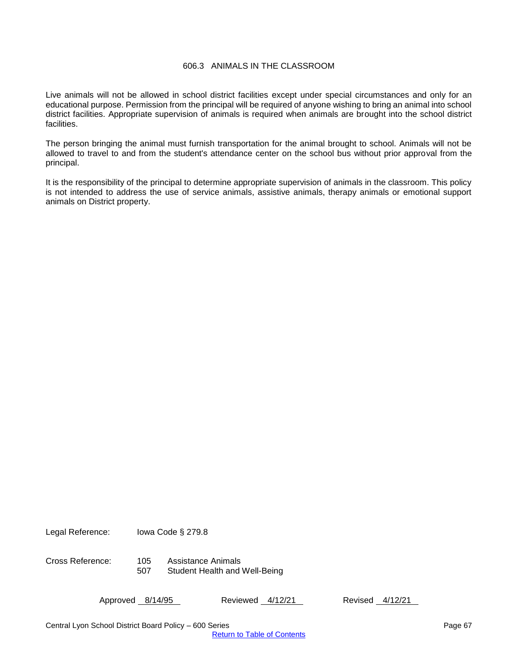### 606.3 ANIMALS IN THE CLASSROOM

Live animals will not be allowed in school district facilities except under special circumstances and only for an educational purpose. Permission from the principal will be required of anyone wishing to bring an animal into school district facilities. Appropriate supervision of animals is required when animals are brought into the school district facilities.

The person bringing the animal must furnish transportation for the animal brought to school. Animals will not be allowed to travel to and from the student's attendance center on the school bus without prior approval from the principal.

It is the responsibility of the principal to determine appropriate supervision of animals in the classroom. This policy is not intended to address the use of service animals, assistive animals, therapy animals or emotional support animals on District property.

Legal Reference: Iowa Code § 279.8

Cross Reference: 105 Assistance Animals 507 Student Health and Well-Being

Approved 8/14/95 Reviewed 4/12/21 Revised 4/12/21

Central Lyon School District Board Policy – 600 Series Page 67

[Return to Table of Contents](#page-0-0)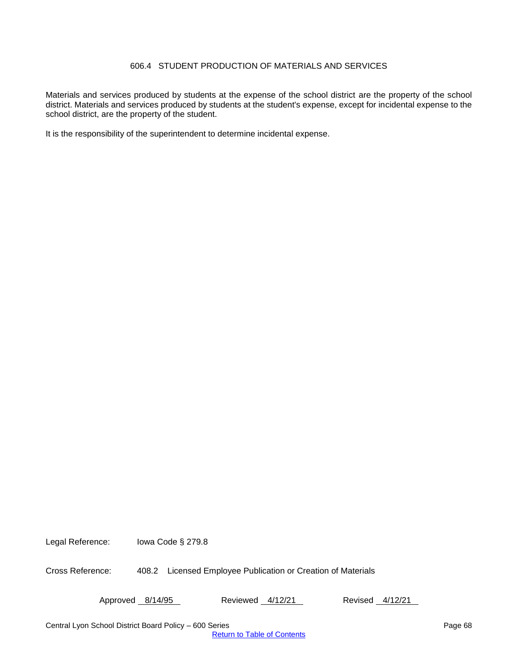# 606.4 STUDENT PRODUCTION OF MATERIALS AND SERVICES

Materials and services produced by students at the expense of the school district are the property of the school district. Materials and services produced by students at the student's expense, except for incidental expense to the school district, are the property of the student.

It is the responsibility of the superintendent to determine incidental expense.

Legal Reference: Iowa Code § 279.8

Cross Reference: 408.2 Licensed Employee Publication or Creation of Materials

Approved 8/14/95 Reviewed 4/12/21 Revised 4/12/21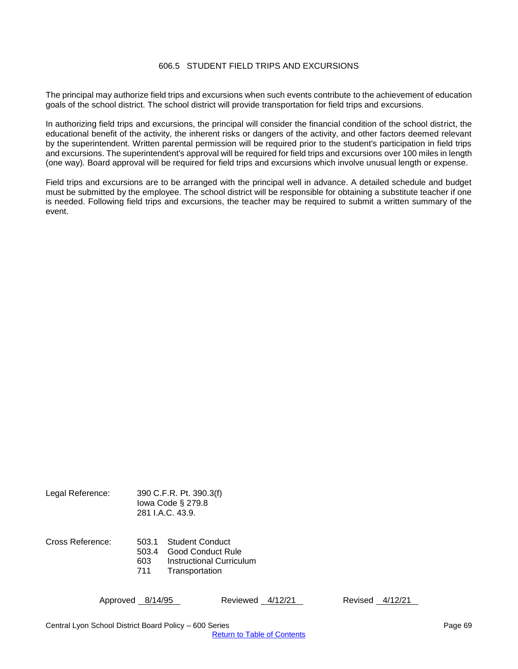## 606.5 STUDENT FIELD TRIPS AND EXCURSIONS

The principal may authorize field trips and excursions when such events contribute to the achievement of education goals of the school district. The school district will provide transportation for field trips and excursions.

In authorizing field trips and excursions, the principal will consider the financial condition of the school district, the educational benefit of the activity, the inherent risks or dangers of the activity, and other factors deemed relevant by the superintendent. Written parental permission will be required prior to the student's participation in field trips and excursions. The superintendent's approval will be required for field trips and excursions over 100 miles in length (one way)*.* Board approval will be required for field trips and excursions which involve unusual length or expense.

Field trips and excursions are to be arranged with the principal well in advance. A detailed schedule and budget must be submitted by the employee. The school district will be responsible for obtaining a substitute teacher if one is needed. Following field trips and excursions, the teacher may be required to submit a written summary of the event.

| Legal Reference: |                              | 390 C.F.R. Pt. 390.3(f)<br>lowa Code § 279.8<br>281 J.A.C. 43.9.                          |
|------------------|------------------------------|-------------------------------------------------------------------------------------------|
| Cross Reference: | 503.1<br>503.4<br>603<br>711 | <b>Student Conduct</b><br>Good Conduct Rule<br>Instructional Curriculum<br>Transportation |

Approved 8/14/95 Reviewed 4/12/21 Revised 4/12/21

Central Lyon School District Board Policy – 600 Series Page 69 Page 69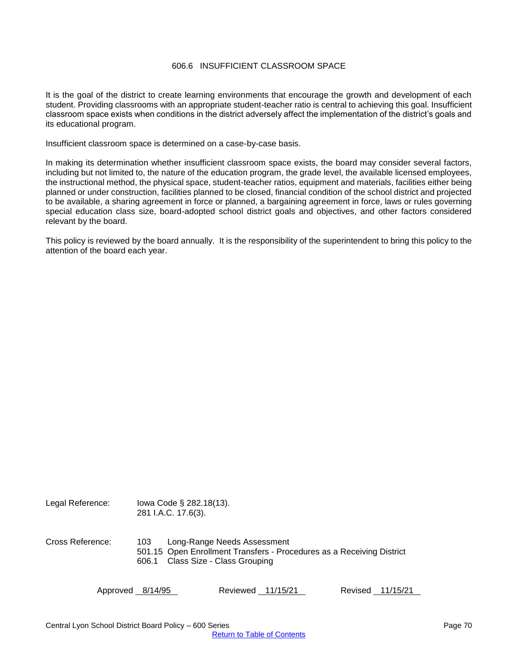## 606.6 INSUFFICIENT CLASSROOM SPACE

It is the goal of the district to create learning environments that encourage the growth and development of each student. Providing classrooms with an appropriate student-teacher ratio is central to achieving this goal. Insufficient classroom space exists when conditions in the district adversely affect the implementation of the district's goals and its educational program.

Insufficient classroom space is determined on a case-by-case basis.

In making its determination whether insufficient classroom space exists, the board may consider several factors, including but not limited to, the nature of the education program, the grade level, the available licensed employees, the instructional method, the physical space, student-teacher ratios, equipment and materials, facilities either being planned or under construction, facilities planned to be closed, financial condition of the school district and projected to be available, a sharing agreement in force or planned, a bargaining agreement in force, laws or rules governing special education class size, board-adopted school district goals and objectives, and other factors considered relevant by the board.

This policy is reviewed by the board annually. It is the responsibility of the superintendent to bring this policy to the attention of the board each year.

Legal Reference: Iowa Code § 282.18(13). 281 I.A.C. 17.6(3). Cross Reference: 103 Long-Range Needs Assessment 501.15 Open Enrollment Transfers - Procedures as a Receiving District 606.1 Class Size - Class Grouping

| Approved 8/14/95 | Reviewed 11/15/21 | Revised 11/15/21 |
|------------------|-------------------|------------------|
|------------------|-------------------|------------------|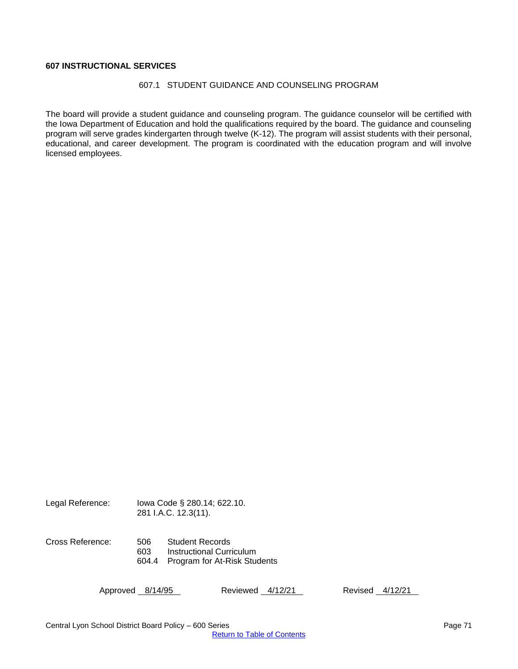# **607 INSTRUCTIONAL SERVICES**

### 607.1 STUDENT GUIDANCE AND COUNSELING PROGRAM

The board will provide a student guidance and counseling program. The guidance counselor will be certified with the Iowa Department of Education and hold the qualifications required by the board. The guidance and counseling program will serve grades kindergarten through twelve (K-12). The program will assist students with their personal, educational, and career development. The program is coordinated with the education program and will involve licensed employees.

| Legal Reference: |                     | lowa Code § 280.14; 622.10.<br>281 I.A.C. 12.3(11).                                |  |  |
|------------------|---------------------|------------------------------------------------------------------------------------|--|--|
| Cross Reference: | 506<br>603<br>604.4 | <b>Student Records</b><br>Instructional Curriculum<br>Program for At-Risk Students |  |  |

Approved 8/14/95 Reviewed 4/12/21 Revised 4/12/21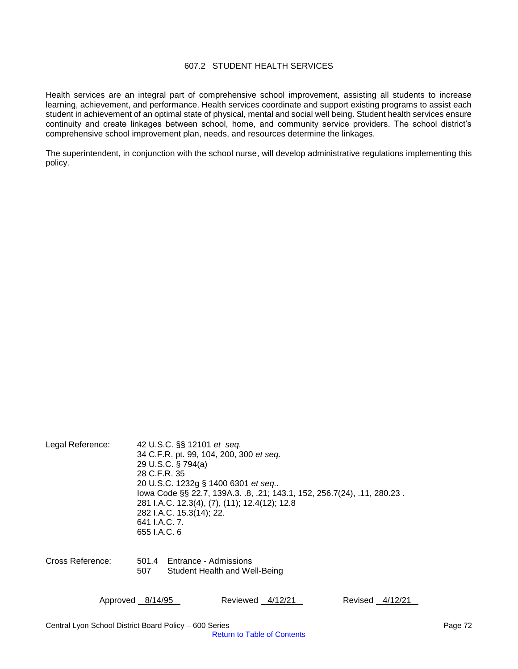### 607.2 STUDENT HEALTH SERVICES

Health services are an integral part of comprehensive school improvement, assisting all students to increase learning, achievement, and performance. Health services coordinate and support existing programs to assist each student in achievement of an optimal state of physical, mental and social well being. Student health services ensure continuity and create linkages between school, home, and community service providers. The school district's comprehensive school improvement plan, needs, and resources determine the linkages.

The superintendent, in conjunction with the school nurse, will develop administrative regulations implementing this policy.

| Legal Reference: | 42 U.S.C. §§ 12101 <i>et seq.</i><br>34 C.F.R. pt. 99, 104, 200, 300 et seq. |
|------------------|------------------------------------------------------------------------------|
|                  | 29 U.S.C. § 794(a)                                                           |
|                  | 28 C.F.R. 35                                                                 |
|                  | 20 U.S.C. 1232g § 1400 6301 et seq                                           |
|                  | lowa Code §§ 22.7, 139A.3. .8, .21; 143.1, 152, 256.7(24), .11, 280.23.      |
|                  | 281 I.A.C. 12.3(4), (7), (11); 12.4(12); 12.8                                |
|                  | 282 I.A.C. 15.3(14); 22.                                                     |
|                  | 641 J.A.C. 7.                                                                |
|                  | 655 J.A.C. 6                                                                 |
|                  |                                                                              |

Cross Reference: 501.4 Entrance - Admissions 507 Student Health and Well-Being

| Approved 8/14/95 | Reviewed 4/12/21 | Revised 4/12/21 |  |
|------------------|------------------|-----------------|--|
|                  |                  |                 |  |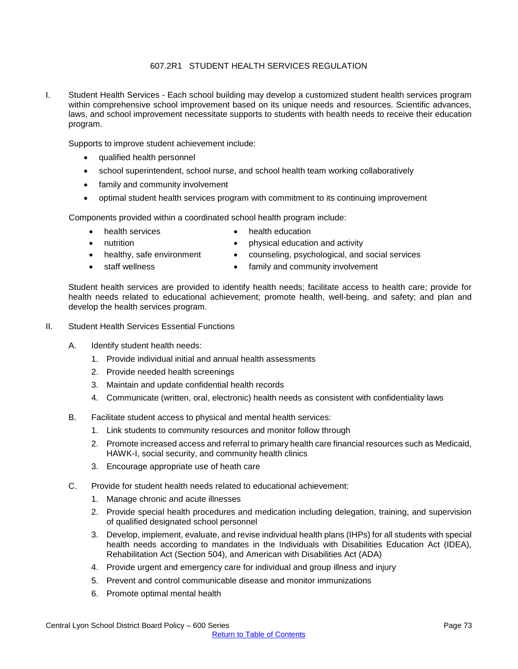## 607.2R1 STUDENT HEALTH SERVICES REGULATION

I. Student Health Services - Each school building may develop a customized student health services program within comprehensive school improvement based on its unique needs and resources. Scientific advances, laws, and school improvement necessitate supports to students with health needs to receive their education program.

Supports to improve student achievement include:

- qualified health personnel
- school superintendent, school nurse, and school health team working collaboratively
- family and community involvement
- optimal student health services program with commitment to its continuing improvement

Components provided within a coordinated school health program include:

- 
- health services health education
- 
- 
- nutrition **•** physical education and activity
- healthy, safe environment counseling, psychological, and social services
- 
- staff wellness **•** family and community involvement

Student health services are provided to identify health needs; facilitate access to health care; provide for health needs related to educational achievement; promote health, well-being, and safety; and plan and develop the health services program.

- II. Student Health Services Essential Functions
	- A. Identify student health needs:
		- 1. Provide individual initial and annual health assessments
		- 2. Provide needed health screenings
		- 3. Maintain and update confidential health records
		- 4. Communicate (written, oral, electronic) health needs as consistent with confidentiality laws
	- B. Facilitate student access to physical and mental health services:
		- 1. Link students to community resources and monitor follow through
		- 2. Promote increased access and referral to primary health care financial resources such as Medicaid, HAWK-I, social security, and community health clinics
		- 3. Encourage appropriate use of heath care
	- C. Provide for student health needs related to educational achievement:
		- 1. Manage chronic and acute illnesses
		- 2. Provide special health procedures and medication including delegation, training, and supervision of qualified designated school personnel
		- 3. Develop, implement, evaluate, and revise individual health plans (IHPs) for all students with special health needs according to mandates in the Individuals with Disabilities Education Act (IDEA), Rehabilitation Act (Section 504), and American with Disabilities Act (ADA)
		- 4. Provide urgent and emergency care for individual and group illness and injury
		- 5. Prevent and control communicable disease and monitor immunizations
		- 6. Promote optimal mental health